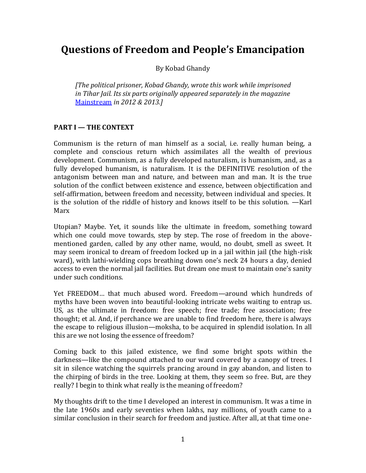# **Questions of Freedom and People's Emancipation**

By Kobad Ghandy

*[The political prisoner, Kobad Ghandy, wrote this work while imprisoned in Tihar Jail. Its six parts originally appeared separately in the magazine*  [Mainstream](http://www.mainstreamweekly.net/) *in 2012 & 2013.]*

# **PART I — THE CONTEXT**

Communism is the return of man himself as a social, i.e. really human being, a complete and conscious return which assimilates all the wealth of previous development. Communism, as a fully developed naturalism, is humanism, and, as a fully developed humanism, is naturalism. It is the DEFINITIVE resolution of the antagonism between man and nature, and between man and man. It is the true solution of the conflict between existence and essence, between objectification and self-affirmation, between freedom and necessity, between individual and species. It is the solution of the riddle of history and knows itself to be this solution. —Karl Marx

Utopian? Maybe. Yet, it sounds like the ultimate in freedom, something toward which one could move towards, step by step. The rose of freedom in the abovementioned garden, called by any other name, would, no doubt, smell as sweet. It may seem ironical to dream of freedom locked up in a jail within jail (the high-risk ward), with lathi-wielding cops breathing down one's neck 24 hours a day, denied access to even the normal jail facilities. But dream one must to maintain one's sanity under such conditions.

Yet FREEDOM… that much abused word. Freedom—around which hundreds of myths have been woven into beautiful-looking intricate webs waiting to entrap us. US, as the ultimate in freedom: free speech; free trade; free association; free thought; et al. And, if perchance we are unable to find freedom here, there is always the escape to religious illusion—moksha, to be acquired in splendid isolation. In all this are we not losing the essence of freedom?

Coming back to this jailed existence, we find some bright spots within the darkness—like the compound attached to our ward covered by a canopy of trees. I sit in silence watching the squirrels prancing around in gay abandon, and listen to the chirping of birds in the tree. Looking at them, they seem so free. But, are they really? I begin to think what really is the meaning of freedom?

My thoughts drift to the time I developed an interest in communism. It was a time in the late 1960s and early seventies when lakhs, nay millions, of youth came to a similar conclusion in their search for freedom and justice. After all, at that time one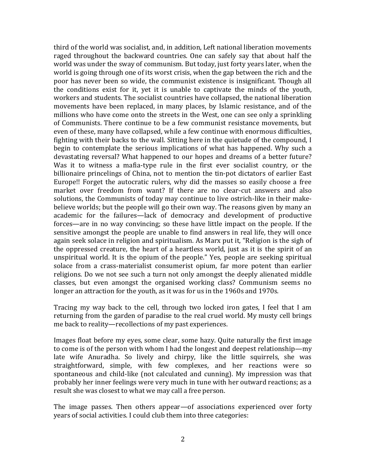third of the world was socialist, and, in addition, Left national liberation movements raged throughout the backward countries. One can safely say that about half the world was under the sway of communism. But today, just forty years later, when the world is going through one of its worst crisis, when the gap between the rich and the poor has never been so wide, the communist existence is insignificant. Though all the conditions exist for it, yet it is unable to captivate the minds of the youth, workers and students. The socialist countries have collapsed, the national liberation movements have been replaced, in many places, by Islamic resistance, and of the millions who have come onto the streets in the West, one can see only a sprinkling of Communists. There continue to be a few communist resistance movements, but even of these, many have collapsed, while a few continue with enormous difficulties, fighting with their backs to the wall. Sitting here in the quietude of the compound, I begin to contemplate the serious implications of what has happened. Why such a devastating reversal? What happened to our hopes and dreams of a better future? Was it to witness a mafia-type rule in the first ever socialist country, or the billionaire princelings of China, not to mention the tin-pot dictators of earlier East Europe!! Forget the autocratic rulers, why did the masses so easily choose a free market over freedom from want? If there are no clear-cut answers and also solutions, the Communists of today may continue to live ostrich-like in their makebelieve worlds; but the people will go their own way. The reasons given by many an academic for the failures—lack of democracy and development of productive forces—are in no way convincing; so these have little impact on the people. If the sensitive amongst the people are unable to find answers in real life, they will once again seek solace in religion and spiritualism. As Marx put it, "Religion is the sigh of the oppressed creature, the heart of a heartless world, just as it is the spirit of an unspiritual world. It is the opium of the people." Yes, people are seeking spiritual solace from a crass-materialist consumerist opium, far more potent than earlier religions. Do we not see such a turn not only amongst the deeply alienated middle classes, but even amongst the organised working class? Communism seems no longer an attraction for the youth, as it was for us in the 1960s and 1970s.

Tracing my way back to the cell, through two locked iron gates, I feel that I am returning from the garden of paradise to the real cruel world. My musty cell brings me back to reality—recollections of my past experiences.

Images float before my eyes, some clear, some hazy. Quite naturally the first image to come is of the person with whom I had the longest and deepest relationship—my late wife Anuradha. So lively and chirpy, like the little squirrels, she was straightforward, simple, with few complexes, and her reactions were so spontaneous and child-like (not calculated and cunning). My impression was that probably her inner feelings were very much in tune with her outward reactions; as a result she was closest to what we may call a free person.

The image passes. Then others appear—of associations experienced over forty years of social activities. I could club them into three categories: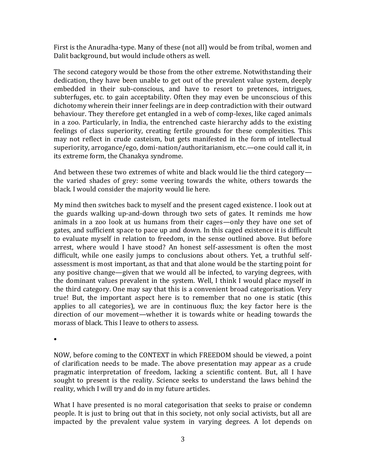First is the Anuradha-type. Many of these (not all) would be from tribal, women and Dalit background, but would include others as well.

The second category would be those from the other extreme. Notwithstanding their dedication, they have been unable to get out of the prevalent value system, deeply embedded in their sub-conscious, and have to resort to pretences, intrigues, subterfuges, etc. to gain acceptability. Often they may even be unconscious of this dichotomy wherein their inner feelings are in deep contradiction with their outward behaviour. They therefore get entangled in a web of comp-lexes, like caged animals in a zoo. Particularly, in India, the entrenched caste hierarchy adds to the existing feelings of class superiority, creating fertile grounds for these complexities. This may not reflect in crude casteism, but gets manifested in the form of intellectual superiority, arrogance/ego, domi-nation/authoritarianism, etc.—one could call it, in its extreme form, the Chanakya syndrome.

And between these two extremes of white and black would lie the third category the varied shades of grey: some veering towards the white, others towards the black. I would consider the majority would lie here.

My mind then switches back to myself and the present caged existence. I look out at the guards walking up-and-down through two sets of gates. It reminds me how animals in a zoo look at us humans from their cages—only they have one set of gates, and sufficient space to pace up and down. In this caged existence it is difficult to evaluate myself in relation to freedom, in the sense outlined above. But before arrest, where would I have stood? An honest self-assessment is often the most difficult, while one easily jumps to conclusions about others. Yet, a truthful selfassessment is most important, as that and that alone would be the starting point for any positive change—given that we would all be infected, to varying degrees, with the dominant values prevalent in the system. Well, I think I would place myself in the third category. One may say that this is a convenient broad categorisation. Very true! But, the important aspect here is to remember that no one is static (this applies to all categories), we are in continuous flux; the key factor here is the direction of our movement—whether it is towards white or heading towards the morass of black. This I leave to others to assess.

•

NOW, before coming to the CONTEXT in which FREEDOM should be viewed, a point of clarification needs to be made. The above presentation may appear as a crude pragmatic interpretation of freedom, lacking a scientific content. But, all I have sought to present is the reality. Science seeks to understand the laws behind the reality, which I will try and do in my future articles.

What I have presented is no moral categorisation that seeks to praise or condemn people. It is just to bring out that in this society, not only social activists, but all are impacted by the prevalent value system in varying degrees. A lot depends on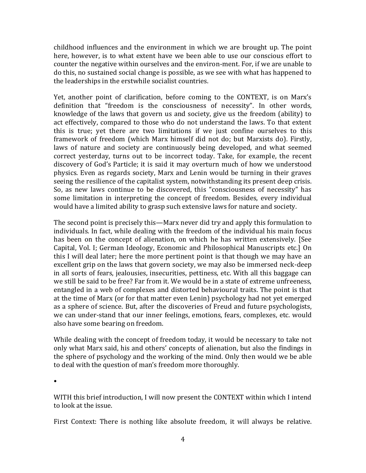childhood influences and the environment in which we are brought up. The point here, however, is to what extent have we been able to use our conscious effort to counter the negative within ourselves and the environ-ment. For, if we are unable to do this, no sustained social change is possible, as we see with what has happened to the leaderships in the erstwhile socialist countries.

Yet, another point of clarification, before coming to the CONTEXT, is on Marx's definition that "freedom is the consciousness of necessity". In other words, knowledge of the laws that govern us and society, give us the freedom (ability) to act effectively, compared to those who do not understand the laws. To that extent this is true; yet there are two limitations if we just confine ourselves to this framework of freedom (which Marx himself did not do; but Marxists do). Firstly, laws of nature and society are continuously being developed, and what seemed correct yesterday, turns out to be incorrect today. Take, for example, the recent discovery of God's Particle; it is said it may overturn much of how we understood physics. Even as regards society, Marx and Lenin would be turning in their graves seeing the resilience of the capitalist system, notwithstanding its present deep crisis. So, as new laws continue to be discovered, this "consciousness of necessity" has some limitation in interpreting the concept of freedom. Besides, every individual would have a limited ability to grasp such extensive laws for nature and society.

The second point is precisely this—Marx never did try and apply this formulation to individuals. In fact, while dealing with the freedom of the individual his main focus has been on the concept of alienation, on which he has written extensively. [See Capital, Vol. I; German Ideology, Economic and Philosophical Manuscripts etc.] On this I will deal later; here the more pertinent point is that though we may have an excellent grip on the laws that govern society, we may also be immersed neck-deep in all sorts of fears, jealousies, insecurities, pettiness, etc. With all this baggage can we still be said to be free? Far from it. We would be in a state of extreme unfreeness, entangled in a web of complexes and distorted behavioural traits. The point is that at the time of Marx (or for that matter even Lenin) psychology had not yet emerged as a sphere of science. But, after the discoveries of Freud and future psychologists, we can under-stand that our inner feelings, emotions, fears, complexes, etc. would also have some bearing on freedom.

While dealing with the concept of freedom today, it would be necessary to take not only what Marx said, his and others' concepts of alienation, but also the findings in the sphere of psychology and the working of the mind. Only then would we be able to deal with the question of man's freedom more thoroughly.

•

WITH this brief introduction, I will now present the CONTEXT within which I intend to look at the issue.

First Context: There is nothing like absolute freedom, it will always be relative.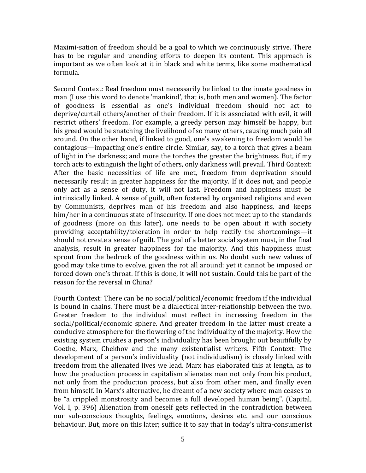Maximi-sation of freedom should be a goal to which we continuously strive. There has to be regular and unending efforts to deepen its content. This approach is important as we often look at it in black and white terms, like some mathematical formula.

Second Context: Real freedom must necessarily be linked to the innate goodness in man (I use this word to denote 'mankind', that is, both men and women). The factor of goodness is essential as one's individual freedom should not act to deprive/curtail others/another of their freedom. If it is associated with evil, it will restrict others' freedom. For example, a greedy person may himself be happy, but his greed would be snatching the livelihood of so many others, causing much pain all around. On the other hand, if linked to good, one's awakening to freedom would be contagious—impacting one's entire circle. Similar, say, to a torch that gives a beam of light in the darkness; and more the torches the greater the brightness. But, if my torch acts to extinguish the light of others, only darkness will prevail. Third Context: After the basic necessities of life are met, freedom from deprivation should necessarily result in greater happiness for the majority. If it does not, and people only act as a sense of duty, it will not last. Freedom and happiness must be intrinsically linked. A sense of guilt, often fostered by organised religions and even by Communists, deprives man of his freedom and also happiness, and keeps him/her in a continuous state of insecurity. If one does not meet up to the standards of goodness (more on this later), one needs to be open about it with society providing acceptability/toleration in order to help rectify the shortcomings—it should not create a sense of guilt. The goal of a better social system must, in the final analysis, result in greater happiness for the majority. And this happiness must sprout from the bedrock of the goodness within us. No doubt such new values of good may take time to evolve, given the rot all around; yet it cannot be imposed or forced down one's throat. If this is done, it will not sustain. Could this be part of the reason for the reversal in China?

Fourth Context: There can be no social/political/economic freedom if the individual is bound in chains. There must be a dialectical inter-relationship between the two. Greater freedom to the individual must reflect in increasing freedom in the social/political/economic sphere. And greater freedom in the latter must create a conducive atmosphere for the flowering of the individuality of the majority. How the existing system crushes a person's individuality has been brought out beautifully by Goethe, Marx, Chekhov and the many existentialist writers. Fifth Context: The development of a person's individuality (not individualism) is closely linked with freedom from the alienated lives we lead. Marx has elaborated this at length, as to how the production process in capitalism alienates man not only from his product, not only from the production process, but also from other men, and finally even from himself. In Marx's alternative, he dreamt of a new society where man ceases to be "a crippled monstrosity and becomes a full developed human being". (Capital, Vol. I, p. 396) Alienation from oneself gets reflected in the contradiction between our sub-conscious thoughts, feelings, emotions, desires etc. and our conscious behaviour. But, more on this later; suffice it to say that in today's ultra-consumerist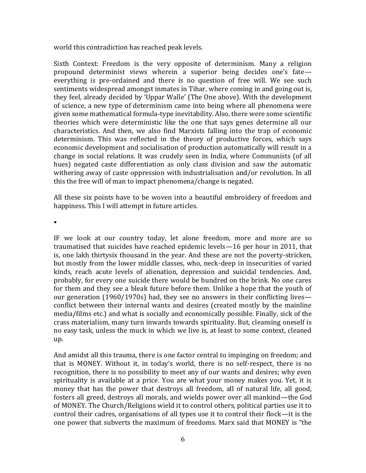world this contradiction has reached peak levels.

Sixth Context: Freedom is the very opposite of determinism. Many a religion propound determinist views wherein a superior being decides one's fate everything is pre-ordained and there is no question of free will. We see such sentiments widespread amongst inmates in Tihar, where coming in and going out is, they feel, already decided by 'Uppar Walle' (The One above). With the development of science, a new type of determinism came into being where all phenomena were given some mathematical formula-type inevitability. Also, there were some scientific theories which were deterministic like the one that says genes determine all our characteristics. And then, we also find Marxists falling into the trap of economic determinism. This was reflected in the theory of productive forces, which says economic development and socialisation of production automatically will result in a change in social relations. It was crudely seen in India, where Communists (of all hues) negated caste differentiation as only class division and saw the automatic withering away of caste oppression with industrialisation and/or revolution. In all this the free will of man to impact phenomena/change is negated.

All these six points have to be woven into a beautiful embroidery of freedom and happiness. This I will attempt in future articles.

•

IF we look at our country today, let alone freedom, more and more are so traumatised that suicides have reached epidemic levels—16 per hour in 2011, that is, one lakh thirtysix thousand in the year. And these are not the poverty-stricken, but mostly from the lower middle classes, who, neck-deep in insecurities of varied kinds, reach acute levels of alienation, depression and suicidal tendencies. And, probably, for every one suicide there would be hundred on the brink. No one cares for them and they see a bleak future before them. Unlike a hope that the youth of our generation (1960/1970s) had, they see no answers in their conflicting lives conflict between their internal wants and desires (created mostly by the mainline media/films etc.) and what is socially and economically possible. Finally, sick of the crass materialism, many turn inwards towards spirituality. But, cleansing oneself is no easy task, unless the muck in which we live is, at least to some context, cleaned up.

And amidst all this trauma, there is one factor central to impinging on freedom; and that is MONEY. Without it, in today's world, there is no self-respect, there is no recognition, there is no possibility to meet any of our wants and desires; why even spirituality is available at a price. You are what your money makes you. Yet, it is money that has the power that destroys all freedom, all of natural life, all good, fosters all greed, destroys all morals, and wields power over all mankind—the God of MONEY. The Church/Religions wield it to control others, political parties use it to control their cadres, organisations of all types use it to control their flock—it is the one power that subverts the maximum of freedoms. Marx said that MONEY is "the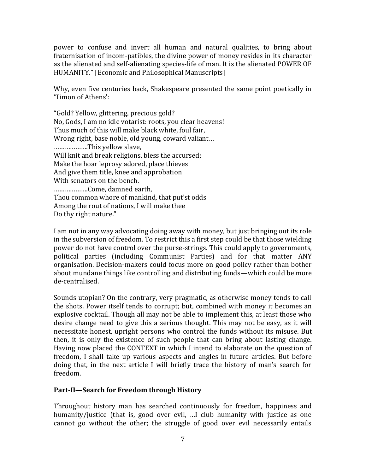power to confuse and invert all human and natural qualities, to bring about fraternisation of incom-patibles, the divine power of money resides in its character as the alienated and self-alienating species-life of man. It is the alienated POWER OF HUMANITY." [Economic and Philosophical Manuscripts]

Why, even five centuries back, Shakespeare presented the same point poetically in 'Timon of Athens':

"Gold? Yellow, glittering, precious gold? No, Gods, I am no idle votarist: roots, you clear heavens! Thus much of this will make black white, foul fair, Wrong right, base noble, old young, coward valiant… ……………….This yellow slave, Will knit and break religions, bless the accursed; Make the hoar leprosy adored, place thieves And give them title, knee and approbation With senators on the bench. ……………….Come, damned earth, Thou common whore of mankind, that put'st odds Among the rout of nations, I will make thee Do thy right nature."

I am not in any way advocating doing away with money, but just bringing out its role in the subversion of freedom. To restrict this a first step could be that those wielding power do not have control over the purse-strings. This could apply to governments, political parties (including Communist Parties) and for that matter ANY organisation. Decision-makers could focus more on good policy rather than bother about mundane things like controlling and distributing funds—which could be more de-centralised.

Sounds utopian? On the contrary, very pragmatic, as otherwise money tends to call the shots. Power itself tends to corrupt; but, combined with money it becomes an explosive cocktail. Though all may not be able to implement this, at least those who desire change need to give this a serious thought. This may not be easy, as it will necessitate honest, upright persons who control the funds without its misuse. But then, it is only the existence of such people that can bring about lasting change. Having now placed the CONTEXT in which I intend to elaborate on the question of freedom, I shall take up various aspects and angles in future articles. But before doing that, in the next article I will briefly trace the history of man's search for freedom.

# **Part-II—Search for Freedom through History**

Throughout history man has searched continuously for freedom, happiness and humanity/justice (that is, good over evil, …I club humanity with justice as one cannot go without the other; the struggle of good over evil necessarily entails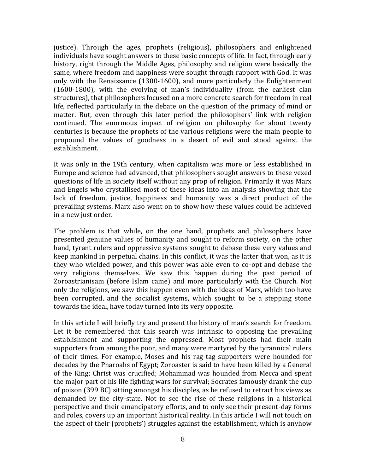justice). Through the ages, prophets (religious), philosophers and enlightened individuals have sought answers to these basic concepts of life. In fact, through early history, right through the Middle Ages, philosophy and religion were basically the same, where freedom and happiness were sought through rapport with God. It was only with the Renaissance (1300-1600), and more particularly the Enlightenment (1600-1800), with the evolving of man's individuality (from the earliest clan structures), that philosophers focused on a more concrete search for freedom in real life, reflected particularly in the debate on the question of the primacy of mind or matter. But, even through this later period the philosophers' link with religion continued. The enormous impact of religion on philosophy for about twenty centuries is because the prophets of the various religions were the main people to propound the values of goodness in a desert of evil and stood against the establishment.

It was only in the 19th century, when capitalism was more or less established in Europe and science had advanced, that philosophers sought answers to these vexed questions of life in society itself without any prop of religion. Primarily it was Marx and Engels who crystallised most of these ideas into an analysis showing that the lack of freedom, justice, happiness and humanity was a direct product of the prevailing systems. Marx also went on to show how these values could be achieved in a new just order.

The problem is that while, on the one hand, prophets and philosophers have presented genuine values of humanity and sought to reform society, on the other hand, tyrant rulers and oppressive systems sought to debase these very values and keep mankind in perpetual chains. In this conflict, it was the latter that won, as it is they who wielded power, and this power was able even to co-opt and debase the very religions themselves. We saw this happen during the past period of Zoroastrianisam (before Islam came) and more particularly with the Church. Not only the religions, we saw this happen even with the ideas of Marx, which too have been corrupted, and the socialist systems, which sought to be a stepping stone towards the ideal, have today turned into its very opposite.

In this article I will briefly try and present the history of man's search for freedom. Let it be remembered that this search was intrinsic to opposing the prevailing establishment and supporting the oppressed. Most prophets had their main supporters from among the poor, and many were martyred by the tyrannical rulers of their times. For example, Moses and his rag-tag supporters were hounded for decades by the Pharoahs of Egypt; Zoroaster is said to have been killed by a General of the King; Christ was crucified; Mohammad was hounded from Mecca and spent the major part of his life fighting wars for survival; Socrates famously drank the cup of poison (399 BC) sitting amongst his disciples, as he refused to retract his views as demanded by the city-state. Not to see the rise of these religions in a historical perspective and their emancipatory efforts, and to only see their present-day forms and roles, covers up an important historical reality. In this article I will not touch on the aspect of their (prophets') struggles against the establishment, which is anyhow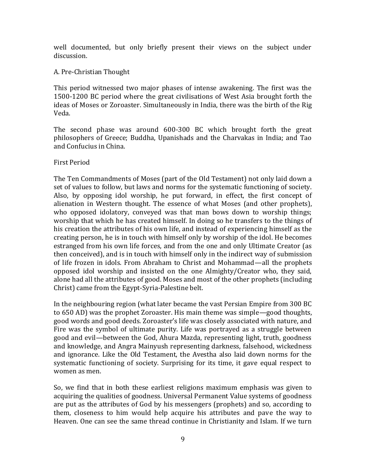well documented, but only briefly present their views on the subject under discussion.

#### A. Pre-Christian Thought

This period witnessed two major phases of intense awakening. The first was the 1500-1200 BC period where the great civilisations of West Asia brought forth the ideas of Moses or Zoroaster. Simultaneously in India, there was the birth of the Rig Veda.

The second phase was around 600-300 BC which brought forth the great philosophers of Greece; Buddha, Upanishads and the Charvakas in India; and Tao and Confucius in China.

#### First Period

The Ten Commandments of Moses (part of the Old Testament) not only laid down a set of values to follow, but laws and norms for the systematic functioning of society. Also, by opposing idol worship, he put forward, in effect, the first concept of alienation in Western thought. The essence of what Moses (and other prophets), who opposed idolatory, conveyed was that man bows down to worship things; worship that which he has created himself. In doing so he transfers to the things of his creation the attributes of his own life, and instead of experiencing himself as the creating person, he is in touch with himself only by worship of the idol. He becomes estranged from his own life forces, and from the one and only Ultimate Creator (as then conceived), and is in touch with himself only in the indirect way of submission of life frozen in idols. From Abraham to Christ and Mohammad—all the prophets opposed idol worship and insisted on the one Almighty/Creator who, they said, alone had all the attributes of good. Moses and most of the other prophets (including Christ) came from the Egypt-Syria-Palestine belt.

In the neighbouring region (what later became the vast Persian Empire from 300 BC to 650 AD) was the prophet Zoroaster. His main theme was simple—good thoughts, good words and good deeds. Zoroaster's life was closely associated with nature, and Fire was the symbol of ultimate purity. Life was portrayed as a struggle between good and evil—between the God, Ahura Mazda, representing light, truth, goodness and knowledge, and Angra Mainyush representing darkness, falsehood, wickedness and ignorance. Like the Old Testament, the Avestha also laid down norms for the systematic functioning of society. Surprising for its time, it gave equal respect to women as men.

So, we find that in both these earliest religions maximum emphasis was given to acquiring the qualities of goodness. Universal Permanent Value systems of goodness are put as the attributes of God by his messengers (prophets) and so, according to them, closeness to him would help acquire his attributes and pave the way to Heaven. One can see the same thread continue in Christianity and Islam. If we turn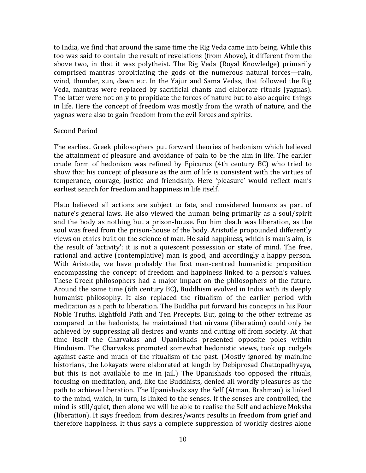to India, we find that around the same time the Rig Veda came into being. While this too was said to contain the result of revelations (from Above), it different from the above two, in that it was polytheist. The Rig Veda (Royal Knowledge) primarily comprised mantras propitiating the gods of the numerous natural forces—rain, wind, thunder, sun, dawn etc. In the Yajur and Sama Vedas, that followed the Rig Veda, mantras were replaced by sacrificial chants and elaborate rituals (yagnas). The latter were not only to propitiate the forces of nature but to also acquire things in life. Here the concept of freedom was mostly from the wrath of nature, and the yagnas were also to gain freedom from the evil forces and spirits.

#### Second Period

The earliest Greek philosophers put forward theories of hedonism which believed the attainment of pleasure and avoidance of pain to be the aim in life. The earlier crude form of hedonism was refined by Epicurus (4th century BC) who tried to show that his concept of pleasure as the aim of life is consistent with the virtues of temperance, courage, justice and friendship. Here 'pleasure' would reflect man's earliest search for freedom and happiness in life itself.

Plato believed all actions are subject to fate, and considered humans as part of nature's general laws. He also viewed the human being primarily as a soul/spirit and the body as nothing but a prison-house. For him death was liberation, as the soul was freed from the prison-house of the body. Aristotle propounded differently views on ethics built on the science of man. He said happiness, which is man's aim, is the result of 'activity'; it is not a quiescent possession or state of mind. The free, rational and active (contemplative) man is good, and accordingly a happy person. With Aristotle, we have probably the first man-centred humanistic proposition encompassing the concept of freedom and happiness linked to a person's values. These Greek philosophers had a major impact on the philosophers of the future. Around the same time (6th century BC), Buddhism evolved in India with its deeply humanist philosophy. It also replaced the ritualism of the earlier period with meditation as a path to liberation. The Buddha put forward his concepts in his Four Noble Truths, Eightfold Path and Ten Precepts. But, going to the other extreme as compared to the hedonists, he maintained that nirvana (liberation) could only be achieved by suppressing all desires and wants and cutting off from society. At that time itself the Charvakas and Upanishads presented opposite poles within Hinduism. The Charvakas promoted somewhat hedonistic views, took up cudgels against caste and much of the ritualism of the past. (Mostly ignored by mainline historians, the Lokayats were elaborated at length by Debiprosad Chattopadhyaya, but this is not available to me in jail.) The Upanishads too opposed the rituals, focusing on meditation, and, like the Buddhists, denied all wordly pleasures as the path to achieve liberation. The Upanishads say the Self (Atman, Brahman) is linked to the mind, which, in turn, is linked to the senses. If the senses are controlled, the mind is still/quiet, then alone we will be able to realise the Self and achieve Moksha (liberation). It says freedom from desires/wants results in freedom from grief and therefore happiness. It thus says a complete suppression of worldly desires alone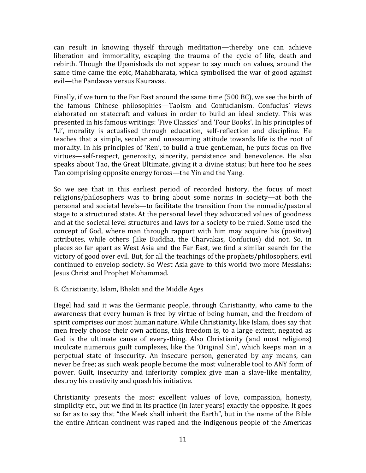can result in knowing thyself through meditation—thereby one can achieve liberation and immortality, escaping the trauma of the cycle of life, death and rebirth. Though the Upanishads do not appear to say much on values, around the same time came the epic, Mahabharata, which symbolised the war of good against evil—the Pandavas versus Kauravas.

Finally, if we turn to the Far East around the same time (500 BC), we see the birth of the famous Chinese philosophies—Taoism and Confucianism. Confucius' views elaborated on statecraft and values in order to build an ideal society. This was presented in his famous writings: 'Five Classics' and 'Four Books'. In his principles of 'Li', morality is actualised through education, self-reflection and discipline. He teaches that a simple, secular and unassuming attitude towards life is the root of morality. In his principles of 'Ren', to build a true gentleman, he puts focus on five virtues—self-respect, generosity, sincerity, persistence and benevolence. He also speaks about Tao, the Great Ultimate, giving it a divine status; but here too he sees Tao comprising opposite energy forces—the Yin and the Yang.

So we see that in this earliest period of recorded history, the focus of most religions/philosophers was to bring about some norms in society—at both the personal and societal levels—to facilitate the transition from the nomadic/pastoral stage to a structured state. At the personal level they advocated values of goodness and at the societal level structures and laws for a society to be ruled. Some used the concept of God, where man through rapport with him may acquire his (positive) attributes, while others (like Buddha, the Charvakas, Confucius) did not. So, in places so far apart as West Asia and the Far East, we find a similar search for the victory of good over evil. But, for all the teachings of the prophets/philosophers, evil continued to envelop society. So West Asia gave to this world two more Messiahs: Jesus Christ and Prophet Mohammad.

#### B. Christianity, Islam, Bhakti and the Middle Ages

Hegel had said it was the Germanic people, through Christianity, who came to the awareness that every human is free by virtue of being human, and the freedom of spirit comprises our most human nature. While Christianity, like Islam, does say that men freely choose their own actions, this freedom is, to a large extent, negated as God is the ultimate cause of every-thing. Also Christianity (and most religions) inculcate numerous guilt complexes, like the 'Original Sin', which keeps man in a perpetual state of insecurity. An insecure person, generated by any means, can never be free; as such weak people become the most vulnerable tool to ANY form of power. Guilt, insecurity and inferiority complex give man a slave-like mentality, destroy his creativity and quash his initiative.

Christianity presents the most excellent values of love, compassion, honesty, simplicity etc., but we find in its practice (in later years) exactly the opposite. It goes so far as to say that "the Meek shall inherit the Earth", but in the name of the Bible the entire African continent was raped and the indigenous people of the Americas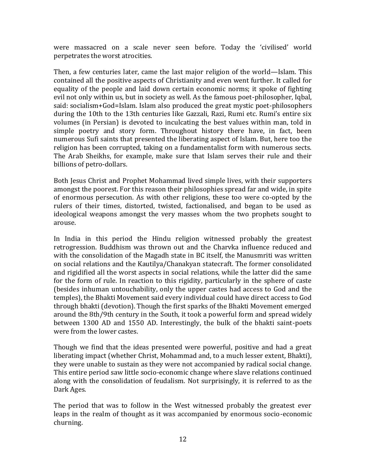were massacred on a scale never seen before. Today the 'civilised' world perpetrates the worst atrocities.

Then, a few centuries later, came the last major religion of the world—Islam. This contained all the positive aspects of Christianity and even went further. It called for equality of the people and laid down certain economic norms; it spoke of fighting evil not only within us, but in society as well. As the famous poet-philosopher, Iqbal, said: socialism+God=Islam. Islam also produced the great mystic poet-philosophers during the 10th to the 13th centuries like Gazzali, Razi, Rumi etc. Rumi's entire six volumes (in Persian) is devoted to inculcating the best values within man, told in simple poetry and story form. Throughout history there have, in fact, been numerous Sufi saints that presented the liberating aspect of Islam. But, here too the religion has been corrupted, taking on a fundamentalist form with numerous sects. The Arab Sheikhs, for example, make sure that Islam serves their rule and their billions of petro-dollars.

Both Jesus Christ and Prophet Mohammad lived simple lives, with their supporters amongst the poorest. For this reason their philosophies spread far and wide, in spite of enormous persecution. As with other religions, these too were co-opted by the rulers of their times, distorted, twisted, factionalised, and began to be used as ideological weapons amongst the very masses whom the two prophets sought to arouse.

In India in this period the Hindu religion witnessed probably the greatest retrogression. Buddhism was thrown out and the Charvka influence reduced and with the consolidation of the Magadh state in BC itself, the Manusmriti was written on social relations and the Kautilya/Chanakyan statecraft. The former consolidated and rigidified all the worst aspects in social relations, while the latter did the same for the form of rule. In reaction to this rigidity, particularly in the sphere of caste (besides inhuman untouchability, only the upper castes had access to God and the temples), the Bhakti Movement said every individual could have direct access to God through bhakti (devotion). Though the first sparks of the Bhakti Movement emerged around the 8th/9th century in the South, it took a powerful form and spread widely between 1300 AD and 1550 AD. Interestingly, the bulk of the bhakti saint-poets were from the lower castes.

Though we find that the ideas presented were powerful, positive and had a great liberating impact (whether Christ, Mohammad and, to a much lesser extent, Bhakti), they were unable to sustain as they were not accompanied by radical social change. This entire period saw little socio-economic change where slave relations continued along with the consolidation of feudalism. Not surprisingly, it is referred to as the Dark Ages.

The period that was to follow in the West witnessed probably the greatest ever leaps in the realm of thought as it was accompanied by enormous socio-economic churning.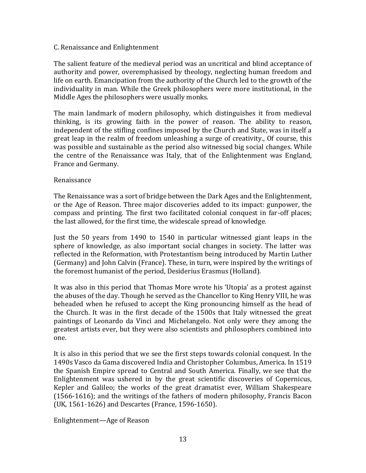#### C. Renaissance and Enlightenment

The salient feature of the medieval period was an uncritical and blind acceptance of authority and power, overemphasised by theology, neglecting human freedom and life on earth. Emancipation from the authority of the Church led to the growth of the individuality in man. While the Greek philosophers were more institutional, in the Middle Ages the philosophers were usually monks.

The main landmark of modern philosophy, which distinguishes it from medieval thinking, is its growing faith in the power of reason. The ability to reason, independent of the stifling confines imposed by the Church and State, was in itself a great leap in the realm of freedom unleashing a surge of creativity., Of course, this was possible and sustainable as the period also witnessed big social changes. While the centre of the Renaissance was Italy, that of the Enlightenment was England, France and Germany.

#### Renaissance

The Renaissance was a sort of bridge between the Dark Ages and the Enlightenment, or the Age of Reason. Three major discoveries added to its impact: gunpower, the compass and printing. The first two facilitated colonial conquest in far-off places; the last allowed, for the first time, the widescale spread of knowledge.

Just the 50 years from 1490 to 1540 in particular witnessed giant leaps in the sphere of knowledge, as also important social changes in society. The latter was reflected in the Reformation, with Protestantism being introduced by Martin Luther (Germany) and John Calvin (France). These, in turn, were inspired by the writings of the foremost humanist of the period, Desiderius Erasmus (Holland).

It was also in this period that Thomas More wrote his 'Utopia' as a protest against the abuses of the day. Though he served as the Chancellor to King Henry VIII, he was beheaded when he refused to accept the King pronouncing himself as the head of the Church. It was in the first decade of the 1500s that Italy witnessed the great paintings of Leonardo da Vinci and Michelangelo. Not only were they among the greatest artists ever, but they were also scientists and philosophers combined into one.

It is also in this period that we see the first steps towards colonial conquest. In the 1490s Vasco da Gama discovered India and Christopher Columbus, America. In 1519 the Spanish Empire spread to Central and South America. Finally, we see that the Enlightenment was ushered in by the great scientific discoveries of Copernicus, Kepler and Galileo; the works of the great dramatist ever, William Shakespeare (1566-1616); and the writings of the fathers of modern philosophy, Francis Bacon (UK, 1561-1626) and Descartes (France, 1596-1650).

Enlightenment—Age of Reason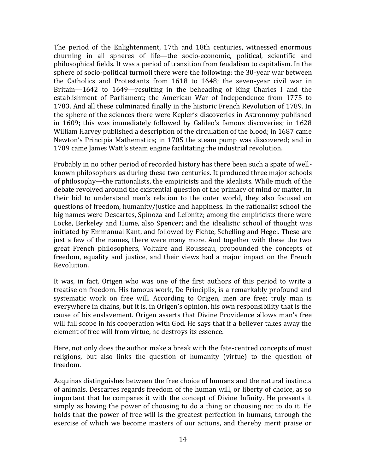The period of the Enlightenment, 17th and 18th centuries, witnessed enormous churning in all spheres of life—the socio-economic, political, scientific and philosophical fields. It was a period of transition from feudalism to capitalism. In the sphere of socio-political turmoil there were the following: the 30-year war between the Catholics and Protestants from 1618 to 1648; the seven-year civil war in Britain—1642 to 1649—resulting in the beheading of King Charles I and the establishment of Parliament; the American War of Independence from 1775 to 1783. And all these culminated finally in the historic French Revolution of 1789. In the sphere of the sciences there were Kepler's discoveries in Astronomy published in 1609; this was immediately followed by Galileo's famous discoveries; in 1628 William Harvey published a description of the circulation of the blood; in 1687 came Newton's Principia Mathematica; in 1705 the steam pump was discovered; and in 1709 came James Watt's steam engine facilitating the industrial revolution.

Probably in no other period of recorded history has there been such a spate of wellknown philosophers as during these two centuries. It produced three major schools of philosophy—the rationalists, the empiricists and the idealists. While much of the debate revolved around the existential question of the primacy of mind or matter, in their bid to understand man's relation to the outer world, they also focused on questions of freedom, humanity/justice and happiness. In the rationalist school the big names were Descartes, Spinoza and Leibnitz; among the empiricists there were Locke, Berkeley and Hume, also Spencer; and the idealistic school of thought was initiated by Emmanual Kant, and followed by Fichte, Schelling and Hegel. These are just a few of the names, there were many more. And together with these the two great French philosophers, Voltaire and Rousseau, propounded the concepts of freedom, equality and justice, and their views had a major impact on the French Revolution.

It was, in fact, Origen who was one of the first authors of this period to write a treatise on freedom. His famous work, De Principiis, is a remarkably profound and systematic work on free will. According to Origen, men are free; truly man is everywhere in chains, but it is, in Origen's opinion, his own responsibility that is the cause of his enslavement. Origen asserts that Divine Providence allows man's free will full scope in his cooperation with God. He says that if a believer takes away the element of free will from virtue, he destroys its essence.

Here, not only does the author make a break with the fate-centred concepts of most religions, but also links the question of humanity (virtue) to the question of freedom.

Acquinas distinguishes between the free choice of humans and the natural instincts of animals. Descartes regards freedom of the human will, or liberty of choice, as so important that he compares it with the concept of Divine Infinity. He presents it simply as having the power of choosing to do a thing or choosing not to do it. He holds that the power of free will is the greatest perfection in humans, through the exercise of which we become masters of our actions, and thereby merit praise or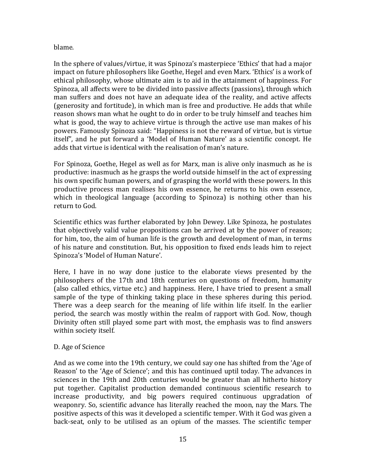#### blame.

In the sphere of values/virtue, it was Spinoza's masterpiece 'Ethics' that had a major impact on future philosophers like Goethe, Hegel and even Marx. 'Ethics' is a work of ethical philosophy, whose ultimate aim is to aid in the attainment of happiness. For Spinoza, all affects were to be divided into passive affects (passions), through which man suffers and does not have an adequate idea of the reality, and active affects (generosity and fortitude), in which man is free and productive. He adds that while reason shows man what he ought to do in order to be truly himself and teaches him what is good, the way to achieve virtue is through the active use man makes of his powers. Famously Spinoza said: "Happiness is not the reward of virtue, but is virtue itself", and he put forward a 'Model of Human Nature' as a scientific concept. He adds that virtue is identical with the realisation of man's nature.

For Spinoza, Goethe, Hegel as well as for Marx, man is alive only inasmuch as he is productive: inasmuch as he grasps the world outside himself in the act of expressing his own specific human powers, and of grasping the world with these powers. In this productive process man realises his own essence, he returns to his own essence, which in theological language (according to Spinoza) is nothing other than his return to God.

Scientific ethics was further elaborated by John Dewey. Like Spinoza, he postulates that objectively valid value propositions can be arrived at by the power of reason; for him, too, the aim of human life is the growth and development of man, in terms of his nature and constitution. But, his opposition to fixed ends leads him to reject Spinoza's 'Model of Human Nature'.

Here, I have in no way done justice to the elaborate views presented by the philosophers of the 17th and 18th centuries on questions of freedom, humanity (also called ethics, virtue etc.) and happiness. Here, I have tried to present a small sample of the type of thinking taking place in these spheres during this period. There was a deep search for the meaning of life within life itself. In the earlier period, the search was mostly within the realm of rapport with God. Now, though Divinity often still played some part with most, the emphasis was to find answers within society itself.

# D. Age of Science

And as we come into the 19th century, we could say one has shifted from the 'Age of Reason' to the 'Age of Science'; and this has continued uptil today. The advances in sciences in the 19th and 20th centuries would be greater than all hitherto history put together. Capitalist production demanded continuous scientific research to increase productivity, and big powers required continuous upgradation of weaponry. So, scientific advance has literally reached the moon, nay the Mars. The positive aspects of this was it developed a scientific temper. With it God was given a back-seat, only to be utilised as an opium of the masses. The scientific temper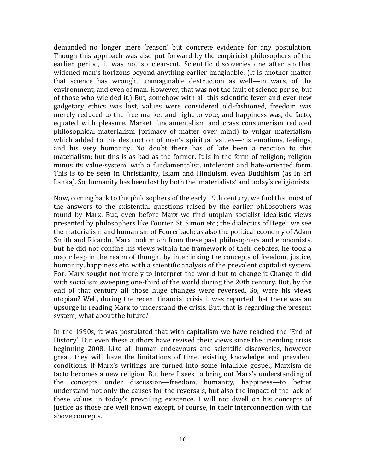demanded no longer mere 'reason' but concrete evidence for any postulation. Though this approach was also put forward by the empiricist philosophers of the earlier period, it was not so clear-cut. Scientific discoveries one after another widened man's horizons beyond anything earlier imaginable. (It is another matter that science has wrought unimaginable destruction as well—in wars, of the environment, and even of man. However, that was not the fault of science per se, but of those who wielded it.) But, somehow with all this scientific fever and ever new gadgetary ethics was lost, values were considered old-fashioned, freedom was merely reduced to the free market and right to vote, and happiness was, de facto, equated with pleasure. Market fundamentalism and crass consumerism reduced philosophical materialism (primacy of matter over mind) to vulgar materialism which added to the destruction of man's spiritual values—his emotions, feelings, and his very humanity. No doubt there has of late been a reaction to this materialism; but this is as bad as the former. It is in the form of religion; religion minus its value-system, with a fundamentalist, intolerant and hate-oriented form. This is to be seen in Christianity, Islam and Hinduism, even Buddhism (as in Sri Lanka). So, humanity has been lost by both the 'materialists' and today's religionists.

Now, coming back to the philosophers of the early 19th century, we find that most of the answers to the existential questions raised by the earlier philosophers was found by Marx. But, even before Marx we find utopian socialist idealistic views presented by philosophers like Fourier, St. Simon etc.; the dialectics of Hegel; we see the materialism and humanism of Feurerbach; as also the political economy of Adam Smith and Ricardo. Marx took much from these past philosophers and economists, but he did not confine his views within the framework of their debates; he took a major leap in the realm of thought by interlinking the concepts of freedom, justice, humanity, happiness etc. with a scientific analysis of the prevalent capitalist system. For, Marx sought not merely to interpret the world but to change it Change it did with socialism sweeping one-third of the world during the 20th century. But, by the end of that century all those huge changes were reversed. So, were his views utopian? Well, during the recent financial crisis it was reported that there was an upsurge in reading Marx to understand the crisis. But, that is regarding the present system; what about the future?

In the 1990s, it was postulated that with capitalism we have reached the 'End of History'. But even these authors have revised their views since the unending crisis beginning 2008. Like all human endeavours and scientific discoveries, however great, they will have the limitations of time, existing knowledge and prevalent conditions. If Marx's writings are turned into some infallible gospel, Marxism de facto becomes a new religion. But here I seek to bring out Marx's understanding of the concepts under discussion—freedom, humanity, happiness—to better understand not only the causes for the reversals, but also the impact of the lack of these values in today's prevailing existence. I will not dwell on his concepts of justice as those are well known except, of course, in their interconnection with the above concepts.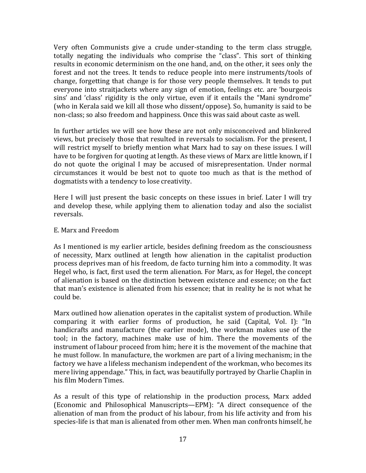Very often Communists give a crude under-standing to the term class struggle, totally negating the individuals who comprise the "class". This sort of thinking results in economic determinism on the one hand, and, on the other, it sees only the forest and not the trees. It tends to reduce people into mere instruments/tools of change, forgetting that change is for those very people themselves. It tends to put everyone into straitjackets where any sign of emotion, feelings etc. are 'bourgeois sins' and 'class' rigidity is the only virtue, even if it entails the "Mani syndrome" (who in Kerala said we kill all those who dissent/oppose). So, humanity is said to be non-class; so also freedom and happiness. Once this was said about caste as well.

In further articles we will see how these are not only misconceived and blinkered views, but precisely those that resulted in reversals to socialism. For the present, I will restrict myself to briefly mention what Marx had to say on these issues. I will have to be forgiven for quoting at length. As these views of Marx are little known, if I do not quote the original I may be accused of misrepresentation. Under normal circumstances it would be best not to quote too much as that is the method of dogmatists with a tendency to lose creativity.

Here I will just present the basic concepts on these issues in brief. Later I will try and develop these, while applying them to alienation today and also the socialist reversals.

# E. Marx and Freedom

As I mentioned is my earlier article, besides defining freedom as the consciousness of necessity, Marx outlined at length how alienation in the capitalist production process deprives man of his freedom, de facto turning him into a commodity. It was Hegel who, is fact, first used the term alienation. For Marx, as for Hegel, the concept of alienation is based on the distinction between existence and essence; on the fact that man's existence is alienated from his essence; that in reality he is not what he could be.

Marx outlined how alienation operates in the capitalist system of production. While comparing it with earlier forms of production, he said (Capital, Vol. I): "In handicrafts and manufacture (the earlier mode), the workman makes use of the tool; in the factory, machines make use of him. There the movements of the instrument of labour proceed from him; here it is the movement of the machine that he must follow. In manufacture, the workmen are part of a living mechanism; in the factory we have a lifeless mechanism independent of the workman, who becomes its mere living appendage." This, in fact, was beautifully portrayed by Charlie Chaplin in his film Modern Times.

As a result of this type of relationship in the production process, Marx added (Economic and Philosophical Manuscripts—EPM): "A direct consequence of the alienation of man from the product of his labour, from his life activity and from his species-life is that man is alienated from other men. When man confronts himself, he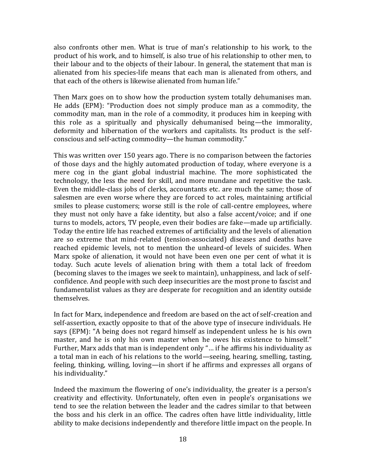also confronts other men. What is true of man's relationship to his work, to the product of his work, and to himself, is also true of his relationship to other men, to their labour and to the objects of their labour. In general, the statement that man is alienated from his species-life means that each man is alienated from others, and that each of the others is likewise alienated from human life."

Then Marx goes on to show how the production system totally dehumanises man. He adds (EPM): "Production does not simply produce man as a commodity, the commodity man, man in the role of a commodity, it produces him in keeping with this role as a spiritually and physically dehumanised being—the immorality, deformity and hibernation of the workers and capitalists. Its product is the selfconscious and self-acting commodity—the human commodity."

This was written over 150 years ago. There is no comparison between the factories of those days and the highly automated production of today, where everyone is a mere cog in the giant global industrial machine. The more sophisticated the technology, the less the need for skill, and more mundane and repetitive the task. Even the middle-class jobs of clerks, accountants etc. are much the same; those of salesmen are even worse where they are forced to act roles, maintaining artificial smiles to please customers; worse still is the role of call-centre employees, where they must not only have a fake identity, but also a false accent/voice; and if one turns to models, actors, TV people, even their bodies are fake—made up artificially. Today the entire life has reached extremes of artificiality and the levels of alienation are so extreme that mind-related (tension-associated) diseases and deaths have reached epidemic levels, not to mention the unheard-of levels of suicides. When Marx spoke of alienation, it would not have been even one per cent of what it is today. Such acute levels of alienation bring with them a total lack of freedom (becoming slaves to the images we seek to maintain), unhappiness, and lack of selfconfidence. And people with such deep insecurities are the most prone to fascist and fundamentalist values as they are desperate for recognition and an identity outside themselves.

In fact for Marx, independence and freedom are based on the act of self-creation and self-assertion, exactly opposite to that of the above type of insecure individuals. He says (EPM): "A being does not regard himself as independent unless he is his own master, and he is only his own master when he owes his existence to himself." Further, Marx adds that man is independent only "… if he affirms his individuality as a total man in each of his relations to the world—seeing, hearing, smelling, tasting, feeling, thinking, willing, loving—in short if he affirms and expresses all organs of his individuality."

Indeed the maximum the flowering of one's individuality, the greater is a person's creativity and effectivity. Unfortunately, often even in people's organisations we tend to see the relation between the leader and the cadres similar to that between the boss and his clerk in an office. The cadres often have little individuality, little ability to make decisions independently and therefore little impact on the people. In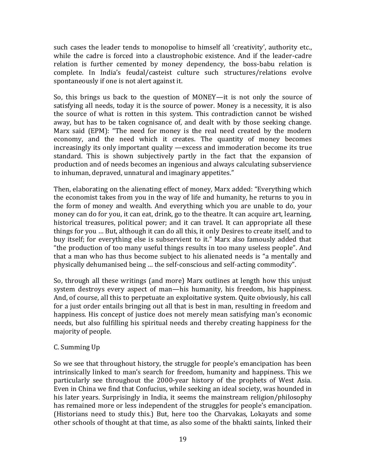such cases the leader tends to monopolise to himself all 'creativity', authority etc., while the cadre is forced into a claustrophobic existence. And if the leader-cadre relation is further cemented by money dependency, the boss-babu relation is complete. In India's feudal/casteist culture such structures/relations evolve spontaneously if one is not alert against it.

So, this brings us back to the question of MONEY—it is not only the source of satisfying all needs, today it is the source of power. Money is a necessity, it is also the source of what is rotten in this system. This contradiction cannot be wished away, but has to be taken cognisance of, and dealt with by those seeking change. Marx said (EPM): "The need for money is the real need created by the modern economy, and the need which it creates. The quantity of money becomes increasingly its only important quality —excess and immoderation become its true standard. This is shown subjectively partly in the fact that the expansion of production and of needs becomes an ingenious and always calculating subservience to inhuman, depraved, unnatural and imaginary appetites."

Then, elaborating on the alienating effect of money, Marx added: "Everything which the economist takes from you in the way of life and humanity, he returns to you in the form of money and wealth. And everything which you are unable to do, your money can do for you, it can eat, drink, go to the theatre. It can acquire art, learning, historical treasures, political power; and it can travel. It can appropriate all these things for you … But, although it can do all this, it only Desires to create itself, and to buy itself; for everything else is subservient to it." Marx also famously added that "the production of too many useful things results in too many useless people". And that a man who has thus become subject to his alienated needs is "a mentally and physically dehumanised being … the self-conscious and self-acting commodity".

So, through all these writings (and more) Marx outlines at length how this unjust system destroys every aspect of man—his humanity, his freedom, his happiness. And, of course, all this to perpetuate an exploitative system. Quite obviously, his call for a just order entails bringing out all that is best in man, resulting in freedom and happiness. His concept of justice does not merely mean satisfying man's economic needs, but also fulfilling his spiritual needs and thereby creating happiness for the majority of people.

# C. Summing Up

So we see that throughout history, the struggle for people's emancipation has been intrinsically linked to man's search for freedom, humanity and happiness. This we particularly see throughout the 2000-year history of the prophets of West Asia. Even in China we find that Confucius, while seeking an ideal society, was hounded in his later years. Surprisingly in India, it seems the mainstream religion/philosophy has remained more or less independent of the struggles for people's emancipation. (Historians need to study this.) But, here too the Charvakas, Lokayats and some other schools of thought at that time, as also some of the bhakti saints, linked their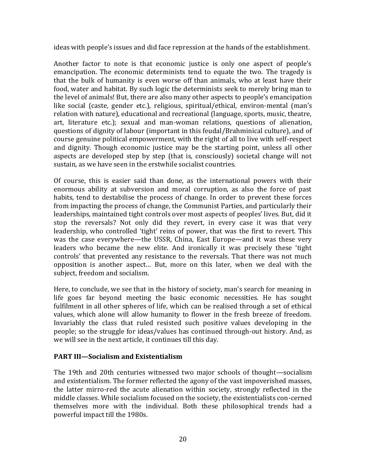ideas with people's issues and did face repression at the hands of the establishment.

Another factor to note is that economic justice is only one aspect of people's emancipation. The economic determinists tend to equate the two. The tragedy is that the bulk of humanity is even worse off than animals, who at least have their food, water and habitat. By such logic the determinists seek to merely bring man to the level of animals! But, there are also many other aspects to people's emancipation like social (caste, gender etc.), religious, spiritual/ethical, environ-mental (man's relation with nature), educational and recreational (language, sports, music, theatre, art, literature etc.); sexual and man-woman relations, questions of alienation, questions of dignity of labour (important in this feudal/Brahminical culture), and of course genuine political empowerment, with the right of all to live with self-respect and dignity. Though economic justice may be the starting point, unless all other aspects are developed step by step (that is, consciously) societal change will not sustain, as we have seen in the erstwhile socialist countries.

Of course, this is easier said than done, as the international powers with their enormous ability at subversion and moral corruption, as also the force of past habits, tend to destabilise the process of change. In order to prevent these forces from impacting the process of change, the Communist Parties, and particularly their leaderships, maintained tight controls over most aspects of peoples' lives. But, did it stop the reversals? Not only did they revert, in every case it was that very leadership, who controlled 'tight' reins of power, that was the first to revert. This was the case everywhere—the USSR, China, East Europe—and it was these very leaders who became the new elite. And ironically it was precisely these 'tight controls' that prevented any resistance to the reversals. That there was not much opposition is another aspect… But, more on this later, when we deal with the subject, freedom and socialism.

Here, to conclude, we see that in the history of society, man's search for meaning in life goes far beyond meeting the basic economic necessities. He has sought fulfilment in all other spheres of life, which can be realised through a set of ethical values, which alone will allow humanity to flower in the fresh breeze of freedom. Invariably the class that ruled resisted such positive values developing in the people; so the struggle for ideas/values has continued through-out history. And, as we will see in the next article, it continues till this day.

# **PART III—Socialism and Existentialism**

The 19th and 20th centuries witnessed two major schools of thought—socialism and existentialism. The former reflected the agony of the vast impoverished masses, the latter mirro-red the acute alienation within society, strongly reflected in the middle classes. While socialism focused on the society, the existentialists con-cerned themselves more with the individual. Both these philosophical trends had a powerful impact till the 1980s.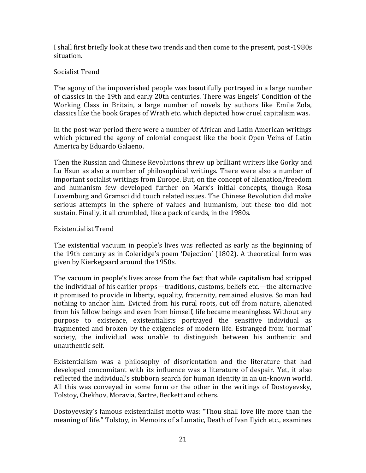I shall first briefly look at these two trends and then come to the present, post-1980s situation.

# Socialist Trend

The agony of the impoverished people was beautifully portrayed in a large number of classics in the 19th and early 20th centuries. There was Engels' Condition of the Working Class in Britain, a large number of novels by authors like Emile Zola, classics like the book Grapes of Wrath etc. which depicted how cruel capitalism was.

In the post-war period there were a number of African and Latin American writings which pictured the agony of colonial conquest like the book Open Veins of Latin America by Eduardo Galaeno.

Then the Russian and Chinese Revolutions threw up brilliant writers like Gorky and Lu Hsun as also a number of philosophical writings. There were also a number of important socialist writings from Europe. But, on the concept of alienation/freedom and humanism few developed further on Marx's initial concepts, though Rosa Luxemburg and Gramsci did touch related issues. The Chinese Revolution did make serious attempts in the sphere of values and humanism, but these too did not sustain. Finally, it all crumbled, like a pack of cards, in the 1980s.

# Existentialist Trend

The existential vacuum in people's lives was reflected as early as the beginning of the 19th century as in Coleridge's poem 'Dejection' (1802). A theoretical form was given by Kierkegaard around the 1950s.

The vacuum in people's lives arose from the fact that while capitalism had stripped the individual of his earlier props—traditions, customs, beliefs etc.—the alternative it promised to provide in liberty, equality, fraternity, remained elusive. So man had nothing to anchor him. Evicted from his rural roots, cut off from nature, alienated from his fellow beings and even from himself, life became meaningless. Without any purpose to existence, existentialists portrayed the sensitive individual as fragmented and broken by the exigencies of modern life. Estranged from 'normal' society, the individual was unable to distinguish between his authentic and unauthentic self.

Existentialism was a philosophy of disorientation and the literature that had developed concomitant with its influence was a literature of despair. Yet, it also reflected the individual's stubborn search for human identity in an un-known world. All this was conveyed in some form or the other in the writings of Dostoyevsky, Tolstoy, Chekhov, Moravia, Sartre, Beckett and others.

Dostoyevsky's famous existentialist motto was: "Thou shall love life more than the meaning of life." Tolstoy, in Memoirs of a Lunatic, Death of Ivan Ilyich etc., examines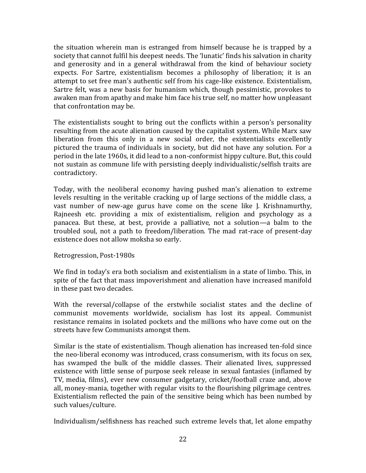the situation wherein man is estranged from himself because he is trapped by a society that cannot fulfil his deepest needs. The 'lunatic' finds his salvation in charity and generosity and in a general withdrawal from the kind of behaviour society expects. For Sartre, existentialism becomes a philosophy of liberation; it is an attempt to set free man's authentic self from his cage-like existence. Existentialism, Sartre felt, was a new basis for humanism which, though pessimistic, provokes to awaken man from apathy and make him face his true self, no matter how unpleasant that confrontation may be.

The existentialists sought to bring out the conflicts within a person's personality resulting from the acute alienation caused by the capitalist system. While Marx saw liberation from this only in a new social order, the existentialists excellently pictured the trauma of individuals in society, but did not have any solution. For a period in the late 1960s, it did lead to a non-conformist hippy culture. But, this could not sustain as commune life with persisting deeply individualistic/selfish traits are contradictory.

Today, with the neoliberal economy having pushed man's alienation to extreme levels resulting in the veritable cracking up of large sections of the middle class, a vast number of new-age gurus have come on the scene like J. Krishnamurthy, Rajneesh etc. providing a mix of existentialism, religion and psychology as a panacea. But these, at best, provide a palliative, not a solution—a balm to the troubled soul, not a path to freedom/liberation. The mad rat-race of present-day existence does not allow moksha so early.

# Retrogression, Post-1980s

We find in today's era both socialism and existentialism in a state of limbo. This, in spite of the fact that mass impoverishment and alienation have increased manifold in these past two decades.

With the reversal/collapse of the erstwhile socialist states and the decline of communist movements worldwide, socialism has lost its appeal. Communist resistance remains in isolated pockets and the millions who have come out on the streets have few Communists amongst them.

Similar is the state of existentialism. Though alienation has increased ten-fold since the neo-liberal economy was introduced, crass consumerism, with its focus on sex, has swamped the bulk of the middle classes. Their alienated lives, suppressed existence with little sense of purpose seek release in sexual fantasies (inflamed by TV, media, films), ever new consumer gadgetary, cricket/football craze and, above all, money-mania, together with regular visits to the flourishing pilgrimage centres. Existentialism reflected the pain of the sensitive being which has been numbed by such values/culture.

Individualism/selfishness has reached such extreme levels that, let alone empathy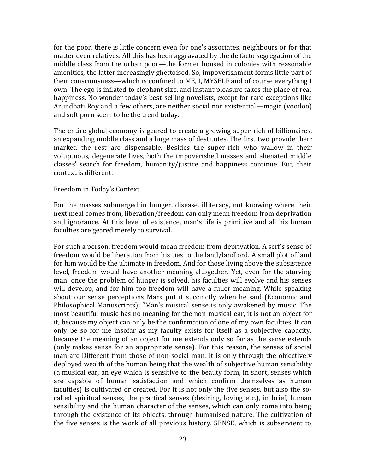for the poor, there is little concern even for one's associates, neighbours or for that matter even relatives. All this has been aggravated by the de facto segregation of the middle class from the urban poor—the former housed in colonies with reasonable amenities, the latter increasingly ghettoised. So, impoverishment forms little part of their consciousness—which is confined to ME, I, MYSELF and of course everything I own. The ego is inflated to elephant size, and instant pleasure takes the place of real happiness. No wonder today's best-selling novelists, except for rare exceptions like Arundhati Roy and a few others, are neither social nor existential—magic (voodoo) and soft porn seem to be the trend today.

The entire global economy is geared to create a growing super-rich of billionaires, an expanding middle class and a huge mass of destitutes. The first two provide their market, the rest are dispensable. Besides the super-rich who wallow in their voluptuous, degenerate lives, both the impoverished masses and alienated middle classes' search for freedom, humanity/justice and happiness continue. But, their context is different.

#### Freedom in Today's Context

For the masses submerged in hunger, disease, illiteracy, not knowing where their next meal comes from, liberation/freedom can only mean freedom from deprivation and ignorance. At this level of existence, man's life is primitive and all his human faculties are geared merely to survival.

For such a person, freedom would mean freedom from deprivation. A serf's sense of freedom would be liberation from his ties to the land/landlord. A small plot of land for him would be the ultimate in freedom. And for those living above the subsistence level, freedom would have another meaning altogether. Yet, even for the starving man, once the problem of hunger is solved, his faculties will evolve and his senses will develop, and for him too freedom will have a fuller meaning. While speaking about our sense perceptions Marx put it succinctly when he said (Economic and Philosophical Manuscripts): "Man's musical sense is only awakened by music. The most beautiful music has no meaning for the non-musical ear, it is not an object for it, because my object can only be the confirmation of one of my own faculties. It can only be so for me insofar as my faculty exists for itself as a subjective capacity, because the meaning of an object for me extends only so far as the sense extends (only makes sense for an appropriate sense). For this reason, the senses of social man are Different from those of non-social man. It is only through the objectively deployed wealth of the human being that the wealth of subjective human sensibility (a musical ear, an eye which is sensitive to the beauty form, in short, senses which are capable of human satisfaction and which confirm themselves as human faculties) is cultivated or created. For it is not only the five senses, but also the socalled spiritual senses, the practical senses (desiring, loving etc.), in brief, human sensibility and the human character of the senses, which can only come into being through the existence of its objects, through humanised nature. The cultivation of the five senses is the work of all previous history. SENSE, which is subservient to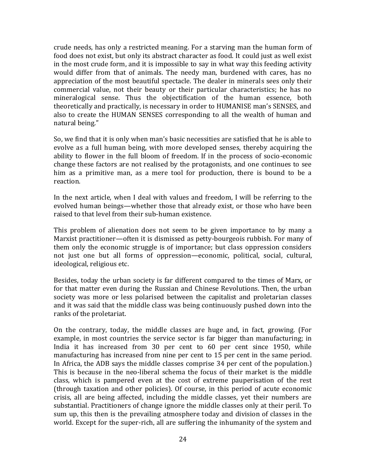crude needs, has only a restricted meaning. For a starving man the human form of food does not exist, but only its abstract character as food. It could just as well exist in the most crude form, and it is impossible to say in what way this feeding activity would differ from that of animals. The needy man, burdened with cares, has no appreciation of the most beautiful spectacle. The dealer in minerals sees only their commercial value, not their beauty or their particular characteristics; he has no mineralogical sense. Thus the objectification of the human essence, both theoretically and practically, is necessary in order to HUMANISE man's SENSES, and also to create the HUMAN SENSES corresponding to all the wealth of human and natural being."

So, we find that it is only when man's basic necessities are satisfied that he is able to evolve as a full human being, with more developed senses, thereby acquiring the ability to flower in the full bloom of freedom. If in the process of socio-economic change these factors are not realised by the protagonists, and one continues to see him as a primitive man, as a mere tool for production, there is bound to be a reaction.

In the next article, when I deal with values and freedom, I will be referring to the evolved human beings—whether those that already exist, or those who have been raised to that level from their sub-human existence.

This problem of alienation does not seem to be given importance to by many a Marxist practitioner—often it is dismissed as petty-bourgeois rubbish. For many of them only the economic struggle is of importance; but class oppression considers not just one but all forms of oppression—economic, political, social, cultural, ideological, religious etc.

Besides, today the urban society is far different compared to the times of Marx, or for that matter even during the Russian and Chinese Revolutions. Then, the urban society was more or less polarised between the capitalist and proletarian classes and it was said that the middle class was being continuously pushed down into the ranks of the proletariat.

On the contrary, today, the middle classes are huge and, in fact, growing. (For example, in most countries the service sector is far bigger than manufacturing; in India it has increased from 30 per cent to 60 per cent since 1950, while manufacturing has increased from nine per cent to 15 per cent in the same period. In Africa, the ADB says the middle classes comprise 34 per cent of the population.) This is because in the neo-liberal schema the focus of their market is the middle class, which is pampered even at the cost of extreme pauperisation of the rest (through taxation and other policies). Of course, in this period of acute economic crisis, all are being affected, including the middle classes, yet their numbers are substantial. Practitioners of change ignore the middle classes only at their peril. To sum up, this then is the prevailing atmosphere today and division of classes in the world. Except for the super-rich, all are suffering the inhumanity of the system and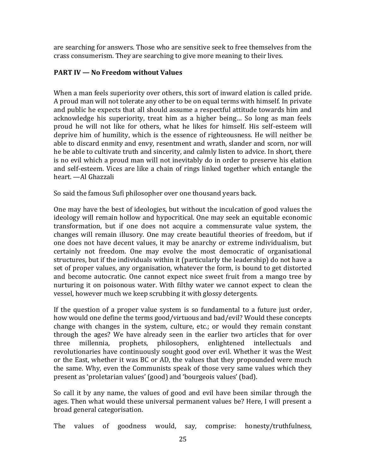are searching for answers. Those who are sensitive seek to free themselves from the crass consumerism. They are searching to give more meaning to their lives.

# **PART IV — No Freedom without Values**

When a man feels superiority over others, this sort of inward elation is called pride. A proud man will not tolerate any other to be on equal terms with himself. In private and public he expects that all should assume a respectful attitude towards him and acknowledge his superiority, treat him as a higher being… So long as man feels proud he will not like for others, what he likes for himself. His self-esteem will deprive him of humility, which is the essence of righteousness. He will neither be able to discard enmity and envy, resentment and wrath, slander and scorn, nor will he be able to cultivate truth and sincerity, and calmly listen to advice. In short, there is no evil which a proud man will not inevitably do in order to preserve his elation and self-esteem. Vices are like a chain of rings linked together which entangle the heart. —Al Ghazzali

So said the famous Sufi philosopher over one thousand years back.

One may have the best of ideologies, but without the inculcation of good values the ideology will remain hollow and hypocritical. One may seek an equitable economic transformation, but if one does not acquire a commensurate value system, the changes will remain illusory. One may create beautiful theories of freedom, but if one does not have decent values, it may be anarchy or extreme individualism, but certainly not freedom. One may evolve the most democratic of organisational structures, but if the individuals within it (particularly the leadership) do not have a set of proper values, any organisation, whatever the form, is bound to get distorted and become autocratic. One cannot expect nice sweet fruit from a mango tree by nurturing it on poisonous water. With filthy water we cannot expect to clean the vessel, however much we keep scrubbing it with glossy detergents.

If the question of a proper value system is so fundamental to a future just order, how would one define the terms good/virtuous and bad/evil? Would these concepts change with changes in the system, culture, etc.; or would they remain constant through the ages? We have already seen in the earlier two articles that for over three millennia, prophets, philosophers, enlightened intellectuals and revolutionaries have continuously sought good over evil. Whether it was the West or the East, whether it was BC or AD, the values that they propounded were much the same. Why, even the Communists speak of those very same values which they present as 'proletarian values' (good) and 'bourgeois values' (bad).

So call it by any name, the values of good and evil have been similar through the ages. Then what would these universal permanent values be? Here, I will present a broad general categorisation.

The values of goodness would, say, comprise: honesty/truthfulness,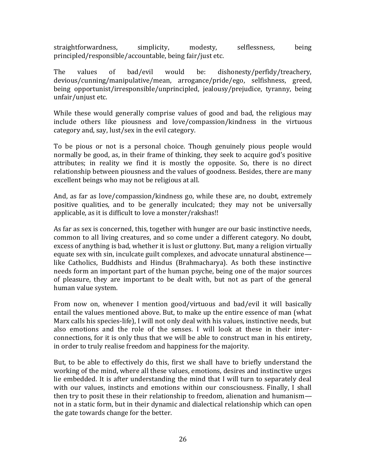straightforwardness, simplicity, modesty, selflessness, being principled/responsible/accountable, being fair/just etc.

The values of bad/evil would be: dishonesty/perfidy/treachery, devious/cunning/manipulative/mean, arrogance/pride/ego, selfishness, greed, being opportunist/irresponsible/unprincipled, jealousy/prejudice, tyranny, being unfair/unjust etc.

While these would generally comprise values of good and bad, the religious may include others like piousness and love/compassion/kindness in the virtuous category and, say, lust/sex in the evil category.

To be pious or not is a personal choice. Though genuinely pious people would normally be good, as, in their frame of thinking, they seek to acquire god's positive attributes; in reality we find it is mostly the opposite. So, there is no direct relationship between piousness and the values of goodness. Besides, there are many excellent beings who may not be religious at all.

And, as far as love/compassion/kindness go, while these are, no doubt, extremely positive qualities, and to be generally inculcated; they may not be universally applicable, as it is difficult to love a monster/rakshas!!

As far as sex is concerned, this, together with hunger are our basic instinctive needs, common to all living creatures, and so come under a different category. No doubt, excess of anything is bad, whether it is lust or gluttony. But, many a religion virtually equate sex with sin, inculcate guilt complexes, and advocate unnatural abstinence like Catholics, Buddhists and Hindus (Brahmacharya). As both these instinctive needs form an important part of the human psyche, being one of the major sources of pleasure, they are important to be dealt with, but not as part of the general human value system.

From now on, whenever I mention good/virtuous and bad/evil it will basically entail the values mentioned above. But, to make up the entire essence of man (what Marx calls his species-life), I will not only deal with his values, instinctive needs, but also emotions and the role of the senses. I will look at these in their interconnections, for it is only thus that we will be able to construct man in his entirety, in order to truly realise freedom and happiness for the majority.

But, to be able to effectively do this, first we shall have to briefly understand the working of the mind, where all these values, emotions, desires and instinctive urges lie embedded. It is after understanding the mind that I will turn to separately deal with our values, instincts and emotions within our consciousness. Finally, I shall then try to posit these in their relationship to freedom, alienation and humanism not in a static form, but in their dynamic and dialectical relationship which can open the gate towards change for the better.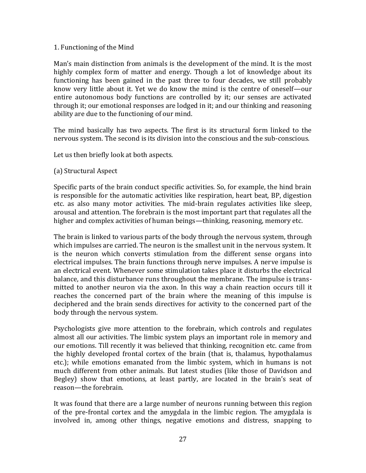#### 1. Functioning of the Mind

Man's main distinction from animals is the development of the mind. It is the most highly complex form of matter and energy. Though a lot of knowledge about its functioning has been gained in the past three to four decades, we still probably know very little about it. Yet we do know the mind is the centre of oneself—our entire autonomous body functions are controlled by it; our senses are activated through it; our emotional responses are lodged in it; and our thinking and reasoning ability are due to the functioning of our mind.

The mind basically has two aspects. The first is its structural form linked to the nervous system. The second is its division into the conscious and the sub-conscious.

Let us then briefly look at both aspects.

# (a) Structural Aspect

Specific parts of the brain conduct specific activities. So, for example, the hind brain is responsible for the automatic activities like respiration, heart beat, BP, digestion etc. as also many motor activities. The mid-brain regulates activities like sleep, arousal and attention. The forebrain is the most important part that regulates all the higher and complex activities of human beings—thinking, reasoning, memory etc.

The brain is linked to various parts of the body through the nervous system, through which impulses are carried. The neuron is the smallest unit in the nervous system. It is the neuron which converts stimulation from the different sense organs into electrical impulses. The brain functions through nerve impulses. A nerve impulse is an electrical event. Whenever some stimulation takes place it disturbs the electrical balance, and this disturbance runs throughout the membrane. The impulse is transmitted to another neuron via the axon. In this way a chain reaction occurs till it reaches the concerned part of the brain where the meaning of this impulse is deciphered and the brain sends directives for activity to the concerned part of the body through the nervous system.

Psychologists give more attention to the forebrain, which controls and regulates almost all our activities. The limbic system plays an important role in memory and our emotions. Till recently it was believed that thinking, recognition etc. came from the highly developed frontal cortex of the brain (that is, thalamus, hypothalamus etc.); while emotions emanated from the limbic system, which in humans is not much different from other animals. But latest studies (like those of Davidson and Begley) show that emotions, at least partly, are located in the brain's seat of reason—the forebrain.

It was found that there are a large number of neurons running between this region of the pre-frontal cortex and the amygdala in the limbic region. The amygdala is involved in, among other things, negative emotions and distress, snapping to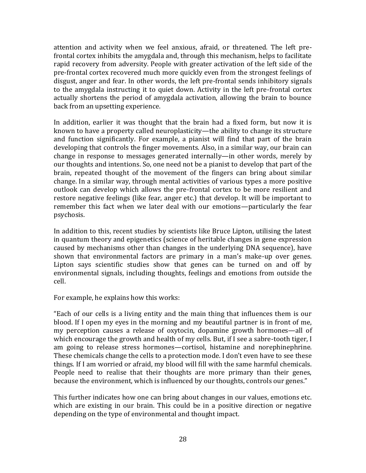attention and activity when we feel anxious, afraid, or threatened. The left prefrontal cortex inhibits the amygdala and, through this mechanism, helps to facilitate rapid recovery from adversity. People with greater activation of the left side of the pre-frontal cortex recovered much more quickly even from the strongest feelings of disgust, anger and fear. In other words, the left pre-frontal sends inhibitory signals to the amygdala instructing it to quiet down. Activity in the left pre-frontal cortex actually shortens the period of amygdala activation, allowing the brain to bounce back from an upsetting experience.

In addition, earlier it was thought that the brain had a fixed form, but now it is known to have a property called neuroplasticity—the ability to change its structure and function significantly. For example, a pianist will find that part of the brain developing that controls the finger movements. Also, in a similar way, our brain can change in response to messages generated internally—in other words, merely by our thoughts and intentions. So, one need not be a pianist to develop that part of the brain, repeated thought of the movement of the fingers can bring about similar change. In a similar way, through mental activities of various types a more positive outlook can develop which allows the pre-frontal cortex to be more resilient and restore negative feelings (like fear, anger etc.) that develop. It will be important to remember this fact when we later deal with our emotions—particularly the fear psychosis.

In addition to this, recent studies by scientists like Bruce Lipton, utilising the latest in quantum theory and epigenetics (science of heritable changes in gene expression caused by mechanisms other than changes in the underlying DNA sequence), have shown that environmental factors are primary in a man's make-up over genes. Lipton says scientific studies show that genes can be turned on and off by environmental signals, including thoughts, feelings and emotions from outside the cell.

For example, he explains how this works:

"Each of our cells is a living entity and the main thing that influences them is our blood. If I open my eyes in the morning and my beautiful partner is in front of me, my perception causes a release of oxytocin, dopamine growth hormones—all of which encourage the growth and health of my cells. But, if I see a sabre-tooth tiger, I am going to release stress hormones—cortisol, histamine and norephinephrine. These chemicals change the cells to a protection mode. I don't even have to see these things. If I am worried or afraid, my blood will fill with the same harmful chemicals. People need to realise that their thoughts are more primary than their genes, because the environment, which is influenced by our thoughts, controls our genes."

This further indicates how one can bring about changes in our values, emotions etc. which are existing in our brain. This could be in a positive direction or negative depending on the type of environmental and thought impact.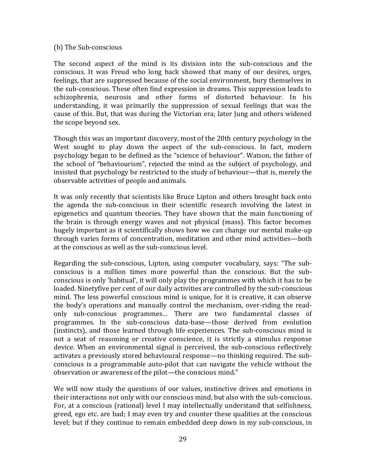#### (b) The Sub-conscious

The second aspect of the mind is its division into the sub-conscious and the conscious. It was Freud who long back showed that many of our desires, urges, feelings, that are suppressed because of the social environment, bury themselves in the sub-conscious. These often find expression in dreams. This suppression leads to schizophrenia, neurosis and other forms of distorted behaviour. In his understanding, it was primarily the suppression of sexual feelings that was the cause of this. But, that was during the Victorian era; later Jung and others widened the scope beyond sex.

Though this was an important discovery, most of the 20th century psychology in the West sought to play down the aspect of the sub-conscious. In fact, modern psychology began to be defined as the "science of behaviour". Watson, the father of the school of "behaviourism", rejected the mind as the subject of psychology, and insisted that psychology be restricted to the study of behaviour—that is, merely the observable activities of people and animals.

It was only recently that scientists like Bruce Lipton and others brought back onto the agenda the sub-conscious in their scientific research involving the latest in epigenetics and quantum theories. They have shown that the main functioning of the brain is through energy waves and not physical (mass). This factor becomes hugely important as it scientifically shows how we can change our mental make-up through varies forms of concentration, meditation and other mind activities—both at the conscious as well as the sub-conscious level.

Regarding the sub-conscious, Lipton, using computer vocabulary, says: "The subconscious is a million times more powerful than the conscious. But the subconscious is only 'habitual', it will only play the programmes with which it has to be loaded. Ninetyfive per cent of our daily activities are controlled by the sub-conscious mind. The less powerful conscious mind is unique, for it is creative, it can observe the body's operations and manually control the mechanism, over-riding the readonly sub-conscious programmes… There are two fundamental classes of programmes. In the sub-conscious data-base—those derived from evolution (instincts), and those learned through life experiences. The sub-conscious mind is not a seat of reasoning or creative conscience, it is strictly a stimulus response device. When an environmental signal is perceived, the sub-conscious reflectively activates a previously stored behavioural response—no thinking required. The subconscious is a programmable auto-pilot that can navigate the vehicle without the observation or awareness of the pilot—the conscious mind."

We will now study the questions of our values, instinctive drives and emotions in their interactions not only with our conscious mind, but also with the sub-conscious. For, at a conscious (rational) level I may intellectually understand that selfishness, greed, ego etc. are bad; I may even try and counter these qualities at the conscious level; but if they continue to remain embedded deep down in my sub-conscious, in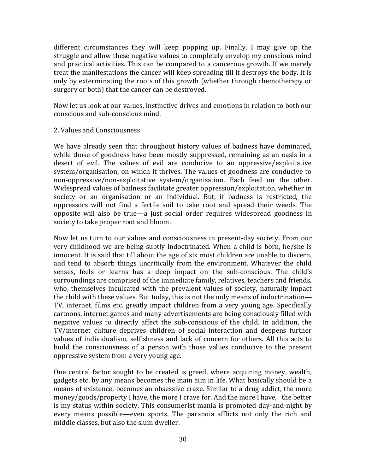different circumstances they will keep popping up. Finally, I may give up the struggle and allow these negative values to completely envelop my conscious mind and practical activities. This can be compared to a cancerous growth. If we merely treat the manifestations the cancer will keep spreading till it destroys the body. It is only by exterminating the roots of this growth (whether through chemotherapy or surgery or both) that the cancer can be destroyed.

Now let us look at our values, instinctive drives and emotions in relation to both our conscious and sub-conscious mind.

#### 2. Values and Consciousness

We have already seen that throughout history values of badness have dominated, while those of goodness have been mostly suppressed, remaining as an oasis in a desert of evil. The values of evil are conducive to an oppressive/exploitative system/organisation, on which it thrives. The values of goodness are conducive to non-oppressive/non-exploitative system/organisation. Each feed on the other. Widespread values of badness facilitate greater oppression/exploitation, whether in society or an organisation or an individual. But, if badness is restricted, the oppressors will not find a fertile soil to take root and spread their weeds. The opposite will also be true—a just social order requires widespread goodness in society to take proper root and bloom.

Now let us turn to our values and consciousness in present-day society. From our very childhood we are being subtly indoctrinated. When a child is born, he/she is innocent. It is said that till about the age of six most children are unable to discern, and tend to absorb things uncritically from the environment. Whatever the child senses, feels or learns has a deep impact on the sub-conscious. The child's surroundings are comprised of the immediate family, relatives, teachers and friends, who, themselves inculcated with the prevalent values of society, naturally impact the child with these values. But today, this is not the only means of indoctrination— TV, internet, films etc. greatly impact children from a very young age. Specifically cartoons, internet games and many advertisements are being consciously filled with negative values to directly affect the sub-conscious of the child. In addition, the TV/internet culture deprives children of social interaction and deepens further values of individualism, selfishness and lack of concern for others. All this acts to build the consciousness of a person with those values conducive to the present oppressive system from a very young age.

One central factor sought to be created is greed, where acquiring money, wealth, gadgets etc. by any means becomes the main aim in life. What basically should be a means of existence, becomes an obsessive craze. Similar to a drug addict, the more money/goods/property I have, the more I crave for. And the more I have, the better is my status within society. This consumerist mania is promoted day-and-night by every means possible—even sports. The paranoia afflicts not only the rich and middle classes, but also the slum dweller.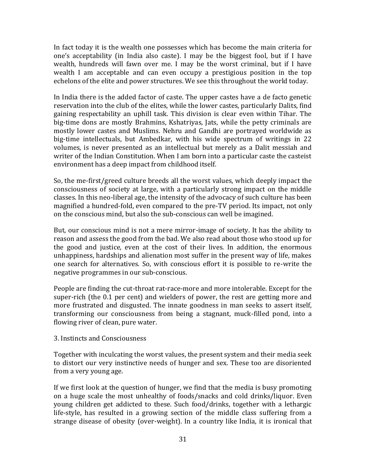In fact today it is the wealth one possesses which has become the main criteria for one's acceptability (in India also caste). I may be the biggest fool, but if I have wealth, hundreds will fawn over me. I may be the worst criminal, but if I have wealth I am acceptable and can even occupy a prestigious position in the top echelons of the elite and power structures. We see this throughout the world today.

In India there is the added factor of caste. The upper castes have a de facto genetic reservation into the club of the elites, while the lower castes, particularly Dalits, find gaining respectability an uphill task. This division is clear even within Tihar. The big-time dons are mostly Brahmins, Kshatriyas, Jats, while the petty criminals are mostly lower castes and Muslims. Nehru and Gandhi are portrayed worldwide as big-time intellectuals, but Ambedkar, with his wide spectrum of writings in 22 volumes, is never presented as an intellectual but merely as a Dalit messiah and writer of the Indian Constitution. When I am born into a particular caste the casteist environment has a deep impact from childhood itself.

So, the me-first/greed culture breeds all the worst values, which deeply impact the consciousness of society at large, with a particularly strong impact on the middle classes. In this neo-liberal age, the intensity of the advocacy of such culture has been magnified a hundred-fold, even compared to the pre-TV period. Its impact, not only on the conscious mind, but also the sub-conscious can well be imagined.

But, our conscious mind is not a mere mirror-image of society. It has the ability to reason and assess the good from the bad. We also read about those who stood up for the good and justice, even at the cost of their lives. In addition, the enormous unhappiness, hardships and alienation most suffer in the present way of life, makes one search for alternatives. So, with conscious effort it is possible to re-write the negative programmes in our sub-conscious.

People are finding the cut-throat rat-race-more and more intolerable. Except for the super-rich (the 0.1 per cent) and wielders of power, the rest are getting more and more frustrated and disgusted. The innate goodness in man seeks to assert itself, transforming our consciousness from being a stagnant, muck-filled pond, into a flowing river of clean, pure water.

# 3. Instincts and Consciousness

Together with inculcating the worst values, the present system and their media seek to distort our very instinctive needs of hunger and sex. These too are disoriented from a very young age.

If we first look at the question of hunger, we find that the media is busy promoting on a huge scale the most unhealthy of foods/snacks and cold drinks/liquor. Even young children get addicted to these. Such food/drinks, together with a lethargic life-style, has resulted in a growing section of the middle class suffering from a strange disease of obesity (over-weight). In a country like India, it is ironical that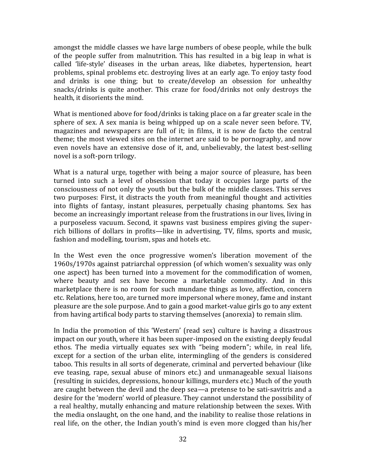amongst the middle classes we have large numbers of obese people, while the bulk of the people suffer from malnutrition. This has resulted in a big leap in what is called 'life-style' diseases in the urban areas, like diabetes, hypertension, heart problems, spinal problems etc. destroying lives at an early age. To enjoy tasty food and drinks is one thing; but to create/develop an obsession for unhealthy snacks/drinks is quite another. This craze for food/drinks not only destroys the health, it disorients the mind.

What is mentioned above for food/drinks is taking place on a far greater scale in the sphere of sex. A sex mania is being whipped up on a scale never seen before. TV, magazines and newspapers are full of it; in films, it is now de facto the central theme; the most viewed sites on the internet are said to be pornography, and now even novels have an extensive dose of it, and, unbelievably, the latest best-selling novel is a soft-porn trilogy.

What is a natural urge, together with being a major source of pleasure, has been turned into such a level of obsession that today it occupies large parts of the consciousness of not only the youth but the bulk of the middle classes. This serves two purposes: First, it distracts the youth from meaningful thought and activities into flights of fantasy, instant pleasures, perpetually chasing phantoms. Sex has become an increasingly important release from the frustrations in our lives, living in a purposeless vacuum. Second, it spawns vast business empires giving the superrich billions of dollars in profits—like in advertising, TV, films, sports and music, fashion and modelling, tourism, spas and hotels etc.

In the West even the once progressive women's liberation movement of the 1960s/1970s against patriarchal oppression (of which women's sexuality was only one aspect) has been turned into a movement for the commodification of women, where beauty and sex have become a marketable commodity. And in this marketplace there is no room for such mundane things as love, affection, concern etc. Relations, here too, are turned more impersonal where money, fame and instant pleasure are the sole purpose. And to gain a good market-value girls go to any extent from having artifical body parts to starving themselves (anorexia) to remain slim.

In India the promotion of this 'Western' (read sex) culture is having a disastrous impact on our youth, where it has been super-imposed on the existing deeply feudal ethos. The media virtually equates sex with "being modern"; while, in real life, except for a section of the urban elite, intermingling of the genders is considered taboo. This results in all sorts of degenerate, criminal and perverted behaviour (like eve teasing, rape, sexual abuse of minors etc.) and unmanageable sexual liaisons (resulting in suicides, depressions, honour killings, murders etc.) Much of the youth are caught between the devil and the deep sea—a pretense to be sati-savitris and a desire for the 'modern' world of pleasure. They cannot understand the possibility of a real healthy, mutally enhancing and mature relationship between the sexes. With the media onslaught, on the one hand, and the inability to realise those relations in real life, on the other, the Indian youth's mind is even more clogged than his/her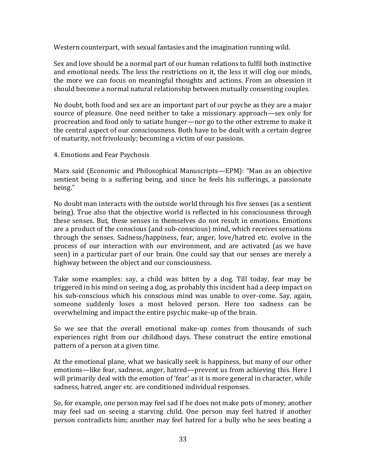Western counterpart, with sexual fantasies and the imagination running wild.

Sex and love should be a normal part of our human relations to fulfil both instinctive and emotional needs. The less the restrictions on it, the less it will clog our minds, the more we can focus on meaningful thoughts and actions. From an obsession it should become a normal natural relationship between mutually consenting couples.

No doubt, both food and sex are an important part of our psyche as they are a major source of pleasure. One need neither to take a missionary approach—sex only for procreation and food only to satiate hunger—nor go to the other extreme to make it the central aspect of our consciousness. Both have to be dealt with a certain degree of maturity, not frivolously; becoming a victim of our passions.

4. Emotions and Fear Psychosis

Marx said (Economic and Philosophical Manuscripts—EPM): "Man as an objective sentient being is a suffering being, and since he feels his sufferings, a passionate being."

No doubt man interacts with the outside world through his five senses (as a sentient being). True also that the objective world is reflected in his consciousness through these senses. But, these senses in themselves do not result in emotions. Emotions are a product of the conscious (and sub-conscious) mind, which receives sensations through the senses. Sadness/happiness, fear, anger, love/hatred etc. evolve in the process of our interaction with our environment, and are activated (as we have seen) in a particular part of our brain. One could say that our senses are merely a highway between the object and our consciousness.

Take some examples: say, a child was bitten by a dog. Till today, fear may be triggered in his mind on seeing a dog, as probably this incident had a deep impact on his sub-conscious which his conscious mind was unable to over-come. Say, again, someone suddenly loses a most beloved person. Here too sadness can be overwhelming and impact the entire psychic make-up of the brain.

So we see that the overall emotional make-up comes from thousands of such experiences right from our childhood days. These construct the entire emotional pattern of a person at a given time.

At the emotional plane, what we basically seek is happiness, but many of our other emotions—like fear, sadness, anger, hatred—prevent us from achieving this. Here I will primarily deal with the emotion of 'fear' as it is more general in character, while sadness, hatred, anger etc. are conditioned individual responses.

So, for example, one person may feel sad if he does not make pots of money; another may feel sad on seeing a starving child. One person may feel hatred if another person contradicts him; another may feel hatred for a bully who he sees beating a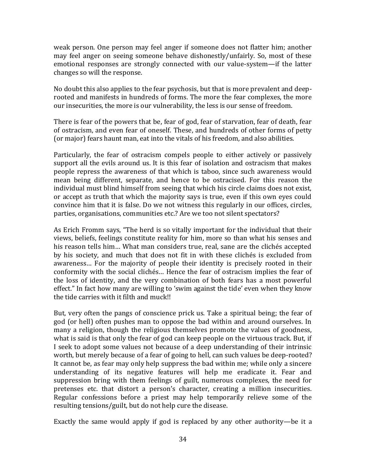weak person. One person may feel anger if someone does not flatter him; another may feel anger on seeing someone behave dishonestly/unfairly. So, most of these emotional responses are strongly connected with our value-system—if the latter changes so will the response.

No doubt this also applies to the fear psychosis, but that is more prevalent and deeprooted and manifests in hundreds of forms. The more the fear complexes, the more our insecurities, the more is our vulnerability, the less is our sense of freedom.

There is fear of the powers that be, fear of god, fear of starvation, fear of death, fear of ostracism, and even fear of oneself. These, and hundreds of other forms of petty (or major) fears haunt man, eat into the vitals of his freedom, and also abilities.

Particularly, the fear of ostracism compels people to either actively or passively support all the evils around us. It is this fear of isolation and ostracism that makes people repress the awareness of that which is taboo, since such awareness would mean being different, separate, and hence to be ostracised. For this reason the individual must blind himself from seeing that which his circle claims does not exist, or accept as truth that which the majority says is true, even if this own eyes could convince him that it is false. Do we not witness this regularly in our offices, circles, parties, organisations, communities etc.? Are we too not silent spectators?

As Erich Fromm says, "The herd is so vitally important for the individual that their views, beliefs, feelings constitute reality for him, more so than what his senses and his reason tells him… What man considers true, real, sane are the clichés accepted by his society, and much that does not fit in with these clichés is excluded from awareness… For the majority of people their identity is precisely rooted in their conformity with the social clichés… Hence the fear of ostracism implies the fear of the loss of identity, and the very combination of both fears has a most powerful effect." In fact how many are willing to 'swim against the tide' even when they know the tide carries with it filth and muck!!

But, very often the pangs of conscience prick us. Take a spiritual being; the fear of god (or hell) often pushes man to oppose the bad within and around ourselves. In many a religion, though the religious themselves promote the values of goodness, what is said is that only the fear of god can keep people on the virtuous track. But, if I seek to adopt some values not because of a deep understanding of their intrinsic worth, but merely because of a fear of going to hell, can such values be deep-rooted? It cannot be, as fear may only help suppress the bad within me; while only a sincere understanding of its negative features will help me eradicate it. Fear and suppression bring with them feelings of guilt, numerous complexes, the need for pretenses etc. that distort a person's character, creating a million insecurities. Regular confessions before a priest may help temporarily relieve some of the resulting tensions/guilt, but do not help cure the disease.

Exactly the same would apply if god is replaced by any other authority—be it a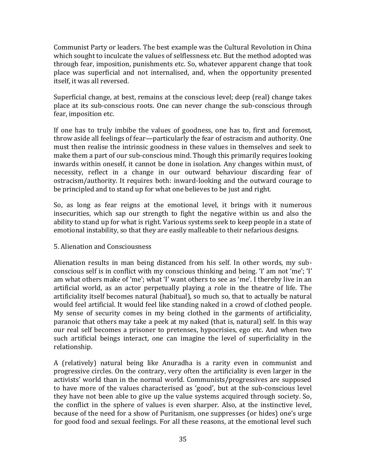Communist Party or leaders. The best example was the Cultural Revolution in China which sought to inculcate the values of selflessness etc. But the method adopted was through fear, imposition, punishments etc. So, whatever apparent change that took place was superficial and not internalised, and, when the opportunity presented itself, it was all reversed.

Superficial change, at best, remains at the conscious level; deep (real) change takes place at its sub-conscious roots. One can never change the sub-conscious through fear, imposition etc.

If one has to truly imbibe the values of goodness, one has to, first and foremost, throw aside all feelings of fear—particularly the fear of ostracism and authority. One must then realise the intrinsic goodness in these values in themselves and seek to make them a part of our sub-conscious mind. Though this primarily requires looking inwards within oneself, it cannot be done in isolation. Any changes within must, of necessity, reflect in a change in our outward behaviour discarding fear of ostracism/authority. It requires both: inward-looking and the outward courage to be principled and to stand up for what one believes to be just and right.

So, as long as fear reigns at the emotional level, it brings with it numerous insecurities, which sap our strength to fight the negative within us and also the ability to stand up for what is right. Various systems seek to keep people in a state of emotional instability, so that they are easily malleable to their nefarious designs.

# 5. Alienation and Consciousness

Alienation results in man being distanced from his self. In other words, my subconscious self is in conflict with my conscious thinking and being. 'I' am not 'me'; 'I' am what others make of 'me'; what 'I' want others to see as 'me'. I thereby live in an artificial world, as an actor perpetually playing a role in the theatre of life. The artificiality itself becomes natural (habitual), so much so, that to actually be natural would feel artificial. It would feel like standing naked in a crowd of clothed people. My sense of security comes in my being clothed in the garments of artificiality, paranoic that others may take a peek at my naked (that is, natural) self. In this way our real self becomes a prisoner to pretenses, hypocrisies, ego etc. And when two such artificial beings interact, one can imagine the level of superficiality in the relationship.

A (relatively) natural being like Anuradha is a rarity even in communist and progressive circles. On the contrary, very often the artificiality is even larger in the activists' world than in the normal world. Communists/progressives are supposed to have more of the values characterised as 'good', but at the sub-conscious level they have not been able to give up the value systems acquired through society. So, the conflict in the sphere of values is even sharper. Also, at the instinctive level, because of the need for a show of Puritanism, one suppresses (or hides) one's urge for good food and sexual feelings. For all these reasons, at the emotional level such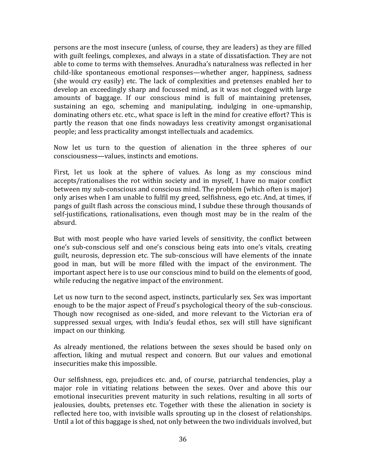persons are the most insecure (unless, of course, they are leaders) as they are filled with guilt feelings, complexes, and always in a state of dissatisfaction. They are not able to come to terms with themselves. Anuradha's naturalness was reflected in her child-like spontaneous emotional responses—whether anger, happiness, sadness (she would cry easily) etc. The lack of complexities and pretenses enabled her to develop an exceedingly sharp and focussed mind, as it was not clogged with large amounts of baggage. If our conscious mind is full of maintaining pretenses, sustaining an ego, scheming and manipulating, indulging in one-upmanship, dominating others etc. etc., what space is left in the mind for creative effort? This is partly the reason that one finds nowadays less creativity amongst organisational people; and less practicality amongst intellectuals and academics.

Now let us turn to the question of alienation in the three spheres of our consciousness—values, instincts and emotions.

First, let us look at the sphere of values. As long as my conscious mind accepts/rationalises the rot within society and in myself, I have no major conflict between my sub-conscious and conscious mind. The problem (which often is major) only arises when I am unable to fulfil my greed, selfishness, ego etc. And, at times, if pangs of guilt flash across the conscious mind, I subdue these through thousands of self-justifications, rationalisations, even though most may be in the realm of the absurd.

But with most people who have varied levels of sensitivity, the conflict between one's sub-conscious self and one's conscious being eats into one's vitals, creating guilt, neurosis, depression etc. The sub-conscious will have elements of the innate good in man, but will be more filled with the impact of the environment. The important aspect here is to use our conscious mind to build on the elements of good, while reducing the negative impact of the environment.

Let us now turn to the second aspect, instincts, particularly sex. Sex was important enough to be the major aspect of Freud's psychological theory of the sub-conscious. Though now recognised as one-sided, and more relevant to the Victorian era of suppressed sexual urges, with India's feudal ethos, sex will still have significant impact on our thinking.

As already mentioned, the relations between the sexes should be based only on affection, liking and mutual respect and concern. But our values and emotional insecurities make this impossible.

Our selfishness, ego, prejudices etc. and, of course, patriarchal tendencies, play a major role in vitiating relations between the sexes. Over and above this our emotional insecurities prevent maturity in such relations, resulting in all sorts of jealousies, doubts, pretenses etc. Together with these the alienation in society is reflected here too, with invisible walls sprouting up in the closest of relationships. Until a lot of this baggage is shed, not only between the two individuals involved, but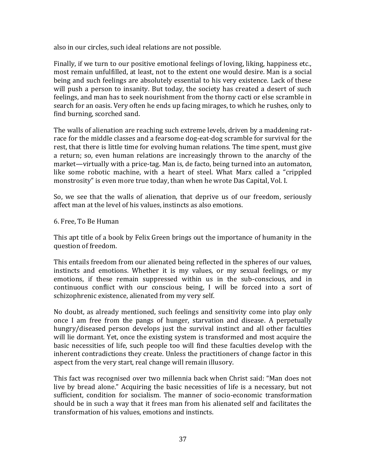also in our circles, such ideal relations are not possible.

Finally, if we turn to our positive emotional feelings of loving, liking, happiness etc., most remain unfulfilled, at least, not to the extent one would desire. Man is a social being and such feelings are absolutely essential to his very existence. Lack of these will push a person to insanity. But today, the society has created a desert of such feelings, and man has to seek nourishment from the thorny cacti or else scramble in search for an oasis. Very often he ends up facing mirages, to which he rushes, only to find burning, scorched sand.

The walls of alienation are reaching such extreme levels, driven by a maddening ratrace for the middle classes and a fearsome dog-eat-dog scramble for survival for the rest, that there is little time for evolving human relations. The time spent, must give a return; so, even human relations are increasingly thrown to the anarchy of the market—virtually with a price-tag. Man is, de facto, being turned into an automaton, like some robotic machine, with a heart of steel. What Marx called a "crippled monstrosity" is even more true today, than when he wrote Das Capital, Vol. I.

So, we see that the walls of alienation, that deprive us of our freedom, seriously affect man at the level of his values, instincts as also emotions.

6. Free, To Be Human

This apt title of a book by Felix Green brings out the importance of humanity in the question of freedom.

This entails freedom from our alienated being reflected in the spheres of our values, instincts and emotions. Whether it is my values, or my sexual feelings, or my emotions, if these remain suppressed within us in the sub-conscious, and in continuous conflict with our conscious being, I will be forced into a sort of schizophrenic existence, alienated from my very self.

No doubt, as already mentioned, such feelings and sensitivity come into play only once I am free from the pangs of hunger, starvation and disease. A perpetually hungry/diseased person develops just the survival instinct and all other faculties will lie dormant. Yet, once the existing system is transformed and most acquire the basic necessities of life, such people too will find these faculties develop with the inherent contradictions they create. Unless the practitioners of change factor in this aspect from the very start, real change will remain illusory.

This fact was recognised over two millennia back when Christ said: "Man does not live by bread alone." Acquiring the basic necessities of life is a necessary, but not sufficient, condition for socialism. The manner of socio-economic transformation should be in such a way that it frees man from his alienated self and facilitates the transformation of his values, emotions and instincts.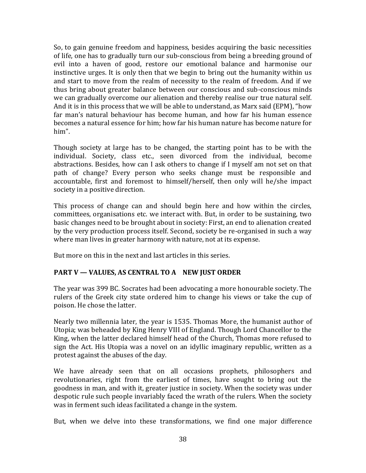So, to gain genuine freedom and happiness, besides acquiring the basic necessities of life, one has to gradually turn our sub-conscious from being a breeding ground of evil into a haven of good, restore our emotional balance and harmonise our instinctive urges. It is only then that we begin to bring out the humanity within us and start to move from the realm of necessity to the realm of freedom. And if we thus bring about greater balance between our conscious and sub-conscious minds we can gradually overcome our alienation and thereby realise our true natural self. And it is in this process that we will be able to understand, as Marx said (EPM), "how far man's natural behaviour has become human, and how far his human essence becomes a natural essence for him; how far his human nature has become nature for him".

Though society at large has to be changed, the starting point has to be with the individual. Society, class etc., seen divorced from the individual, become abstractions. Besides, how can I ask others to change if I myself am not set on that path of change? Every person who seeks change must be responsible and accountable, first and foremost to himself/herself, then only will he/she impact society in a positive direction.

This process of change can and should begin here and how within the circles, committees, organisations etc. we interact with. But, in order to be sustaining, two basic changes need to be brought about in society: First, an end to alienation created by the very production process itself. Second, society be re-organised in such a way where man lives in greater harmony with nature, not at its expense.

But more on this in the next and last articles in this series.

# **PART V — VALUES, AS CENTRAL TO A NEW JUST ORDER**

The year was 399 BC. Socrates had been advocating a more honourable society. The rulers of the Greek city state ordered him to change his views or take the cup of poison. He chose the latter.

Nearly two millennia later, the year is 1535. Thomas More, the humanist author of Utopia; was beheaded by King Henry VIII of England. Though Lord Chancellor to the King, when the latter declared himself head of the Church, Thomas more refused to sign the Act. His Utopia was a novel on an idyllic imaginary republic, written as a protest against the abuses of the day.

We have already seen that on all occasions prophets, philosophers and revolutionaries, right from the earliest of times, have sought to bring out the goodness in man, and with it, greater justice in society. When the society was under despotic rule such people invariably faced the wrath of the rulers. When the society was in ferment such ideas facilitated a change in the system.

But, when we delve into these transformations, we find one major difference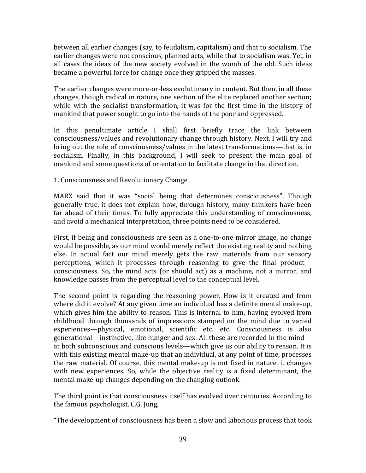between all earlier changes (say, to feudalism, capitalism) and that to socialism. The earlier changes were not conscious, planned acts, while that to socialism was. Yet, in all cases the ideas of the new society evolved in the womb of the old. Such ideas became a powerful force for change once they gripped the masses.

The earlier changes were more-or-less evolutionary in content. But then, in all these changes, though radical in nature, one section of the elite replaced another section; while with the socialist transformation, it was for the first time in the history of mankind that power sought to go into the hands of the poor and oppressed.

In this penultimate article I shall first briefly trace the link between consciousness/values and revolutionary change through history. Next, I will try and bring out the role of consciousness/values in the latest transformations—that is, in socialism. Finally, in this background, I will seek to present the main goal of mankind and some questions of orientation to facilitate change in that direction.

# 1. Consciousness and Revolutionary Change

MARX said that it was "social being that determines consciousness". Though generally true, it does not explain how, through history, many thinkers have been far ahead of their times. To fully appreciate this understanding of consciousness, and avoid a mechanical interpretation, three points need to be considered.

First, if being and consciousness are seen as a one-to-one mirror image, no change would be possible, as our mind would merely reflect the existing reality and nothing else. In actual fact our mind merely gets the raw materials from our sensory perceptions, which it processes through reasoning to give the final product consciousness. So, the mind acts (or should act) as a machine, not a mirror, and knowledge passes from the perceptual level to the conceptual level.

The second point is regarding the reasoning power. How is it created and from where did it evolve? At any given time an individual has a definite mental make-up, which gives him the ability to reason. This is internal to him, having evolved from childhood through thousands of impressions stamped on the mind due to varied experiences—physical, emotional, scientific etc. etc. Consciousness is also generational—instinctive, like hunger and sex. All these are recorded in the mind at both subconscious and conscious levels—which give us our ability to reason. It is with this existing mental make-up that an individual, at any point of time, processes the raw material. Of course, this mental make-up is not fixed in nature, it changes with new experiences. So, while the objective reality is a fixed determinant, the mental make-up changes depending on the changing outlook.

The third point is that consciousness itself has evolved over centuries. According to the famous psychologist, C.G. Jung,

"The development of consciousness has been a slow and laborious process that took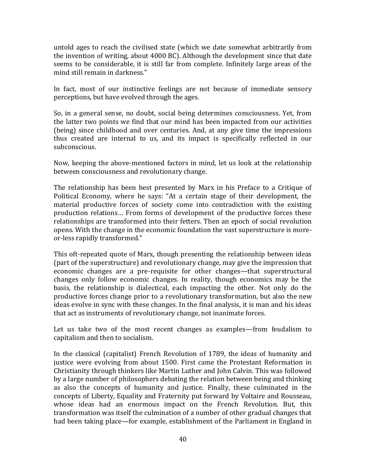untold ages to reach the civilised state (which we date somewhat arbitrarily from the invention of writing, about 4000 BC). Although the development since that date seems to be considerable, it is still far from complete. Infinitely large areas of the mind still remain in darkness."

In fact, most of our instinctive feelings are not because of immediate sensory perceptions, but have evolved through the ages.

So, in a general sense, no doubt, social being determines consciousness. Yet, from the latter two points we find that our mind has been impacted from our activities (being) since childhood and over centuries. And, at any give time the impressions thus created are internal to us, and its impact is specifically reflected in our subconscious.

Now, keeping the above-mentioned factors in mind, let us look at the relationship between consciousness and revolutionary change.

The relationship has been best presented by Marx in his Preface to a Critique of Political Economy, where he says: "At a certain stage of their development, the material productive forces of society come into contradiction with the existing production relations… From forms of development of the productive forces these relationships are transformed into their fetters. Then an epoch of social revolution opens. With the change in the economic foundation the vast superstructure is moreor-less rapidly transformed."

This oft-repeated quote of Marx, though presenting the relationship between ideas (part of the superstructure) and revolutionary change, may give the impression that economic changes are a pre-requisite for other changes—that superstructural changes only follow economic changes. In reality, though economics may be the basis, the relationship is dialectical, each impacting the other. Not only do the productive forces change prior to a revolutionary transformation, but also the new ideas evolve in sync with these changes. In the final analysis, it is man and his ideas that act as instruments of revolutionary change, not inanimate forces.

Let us take two of the most recent changes as examples—from feudalism to capitalism and then to socialism.

In the classical (capitalist) French Revolution of 1789, the ideas of humanity and justice were evolving from about 1500. First came the Protestant Reformation in Christianity through thinkers like Martin Luther and John Calvin. This was followed by a large number of philosophers debating the relation between being and thinking as also the concepts of humanity and justice. Finally, these culminated in the concepts of Liberty, Equality and Fraternity put forward by Voltaire and Rousseau, whose ideas had an enormous impact on the French Revolution. But, this transformation was itself the culmination of a number of other gradual changes that had been taking place—for example, establishment of the Parliament in England in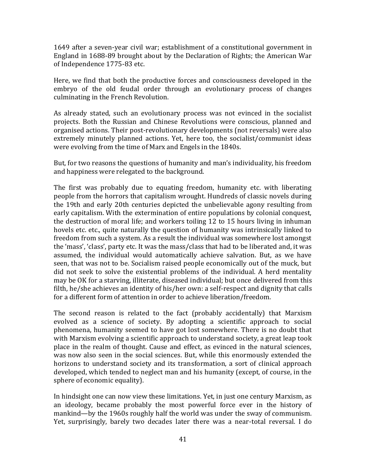1649 after a seven-year civil war; establishment of a constitutional government in England in 1688-89 brought about by the Declaration of Rights; the American War of Independence 1775-83 etc.

Here, we find that both the productive forces and consciousness developed in the embryo of the old feudal order through an evolutionary process of changes culminating in the French Revolution.

As already stated, such an evolutionary process was not evinced in the socialist projects. Both the Russian and Chinese Revolutions were conscious, planned and organised actions. Their post-revolutionary developments (not reversals) were also extremely minutely planned actions. Yet, here too, the socialist/communist ideas were evolving from the time of Marx and Engels in the 1840s.

But, for two reasons the questions of humanity and man's individuality, his freedom and happiness were relegated to the background.

The first was probably due to equating freedom, humanity etc. with liberating people from the horrors that capitalism wrought. Hundreds of classic novels during the 19th and early 20th centuries depicted the unbelievable agony resulting from early capitalism. With the extermination of entire populations by colonial conquest, the destruction of moral life; and workers toiling 12 to 15 hours living in inhuman hovels etc. etc., quite naturally the question of humanity was intrinsically linked to freedom from such a system. As a result the individual was somewhere lost amongst the 'mass', 'class', party etc. It was the mass/class that had to be liberated and, it was assumed, the individual would automatically achieve salvation. But, as we have seen, that was not to be. Socialism raised people economically out of the muck, but did not seek to solve the existential problems of the individual. A herd mentality may be OK for a starving, illiterate, diseased individual; but once delivered from this filth, he/she achieves an identity of his/her own: a self-respect and dignity that calls for a different form of attention in order to achieve liberation/freedom.

The second reason is related to the fact (probably accidentally) that Marxism evolved as a science of society. By adopting a scientific approach to social phenomena, humanity seemed to have got lost somewhere. There is no doubt that with Marxism evolving a scientific approach to understand society, a great leap took place in the realm of thought. Cause and effect, as evinced in the natural sciences, was now also seen in the social sciences. But, while this enormously extended the horizons to understand society and its transformation, a sort of clinical approach developed, which tended to neglect man and his humanity (except, of course, in the sphere of economic equality).

In hindsight one can now view these limitations. Yet, in just one century Marxism, as an ideology, became probably the most powerful force ever in the history of mankind—by the 1960s roughly half the world was under the sway of communism. Yet, surprisingly, barely two decades later there was a near-total reversal. I do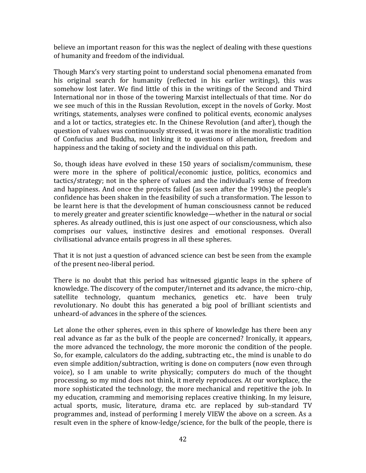believe an important reason for this was the neglect of dealing with these questions of humanity and freedom of the individual.

Though Marx's very starting point to understand social phenomena emanated from his original search for humanity (reflected in his earlier writings), this was somehow lost later. We find little of this in the writings of the Second and Third International nor in those of the towering Marxist intellectuals of that time. Nor do we see much of this in the Russian Revolution, except in the novels of Gorky. Most writings, statements, analyses were confined to political events, economic analyses and a lot or tactics, strategies etc. In the Chinese Revolution (and after), though the question of values was continuously stressed, it was more in the moralistic tradition of Confucius and Buddha, not linking it to questions of alienation, freedom and happiness and the taking of society and the individual on this path.

So, though ideas have evolved in these 150 years of socialism/communism, these were more in the sphere of political/economic justice, politics, economics and tactics/strategy; not in the sphere of values and the individual's sense of freedom and happiness. And once the projects failed (as seen after the 1990s) the people's confidence has been shaken in the feasibility of such a transformation. The lesson to be learnt here is that the development of human consciousness cannot be reduced to merely greater and greater scientific knowledge—whether in the natural or social spheres. As already outlined, this is just one aspect of our consciousness, which also comprises our values, instinctive desires and emotional responses. Overall civilisational advance entails progress in all these spheres.

That it is not just a question of advanced science can best be seen from the example of the present neo-liberal period.

There is no doubt that this period has witnessed gigantic leaps in the sphere of knowledge. The discovery of the computer/internet and its advance, the micro-chip, satellite technology, quantum mechanics, genetics etc. have been truly revolutionary. No doubt this has generated a big pool of brilliant scientists and unheard-of advances in the sphere of the sciences.

Let alone the other spheres, even in this sphere of knowledge has there been any real advance as far as the bulk of the people are concerned? Ironically, it appears, the more advanced the technology, the more moronic the condition of the people. So, for example, calculators do the adding, subtracting etc., the mind is unable to do even simple addition/subtraction, writing is done on computers (now even through voice), so I am unable to write physically; computers do much of the thought processing, so my mind does not think, it merely reproduces. At our workplace, the more sophisticated the technology, the more mechanical and repetitive the job. In my education, cramming and memorising replaces creative thinking. In my leisure, actual sports, music, literature, drama etc. are replaced by sub-standard TV programmes and, instead of performing I merely VIEW the above on a screen. As a result even in the sphere of know-ledge/science, for the bulk of the people, there is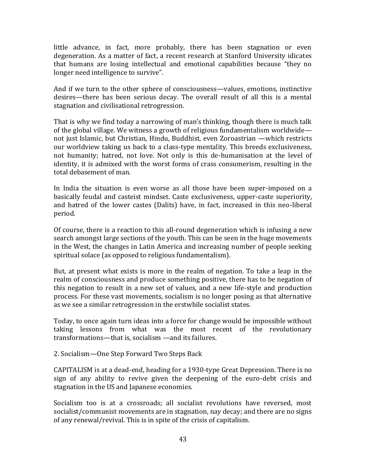little advance, in fact, more probably, there has been stagnation or even degeneration. As a matter of fact, a recent research at Stanford University idicates that humans are losing intellectual and emotional capabilities because "they no longer need intelligence to survive".

And if we turn to the other sphere of consciousness—values, emotions, instinctive desires—there has been serious decay. The overall result of all this is a mental stagnation and civilisational retrogression.

That is why we find today a narrowing of man's thinking, though there is much talk of the global village. We witness a growth of religious fundamentalism worldwide not just Islamic, but Christian, Hindu, Buddhist, even Zoroastrian —which restricts our worldview taking us back to a class-type mentality. This breeds exclusiveness, not humanity; hatred, not love. Not only is this de-humanisation at the level of identity, it is admixed with the worst forms of crass consumerism, resulting in the total debasement of man.

In India the situation is even worse as all those have been super-imposed on a basically feudal and casteist mindset. Caste exclusiveness, upper-caste superiority, and hatred of the lower castes (Dalits) have, in fact, increased in this neo-liberal period.

Of course, there is a reaction to this all-round degeneration which is infusing a new search amongst large sections of the youth. This can be seen in the huge movements in the West, the changes in Latin America and increasing number of people seeking spiritual solace (as opposed to religious fundamentalism).

But, at present what exists is more in the realm of negation. To take a leap in the realm of consciousness and produce something positive, there has to be negation of this negation to result in a new set of values, and a new life-style and production process. For these vast movements, socialism is no longer posing as that alternative as we see a similar retrogression in the erstwhile socialist states.

Today, to once again turn ideas into a force for change would be impossible without taking lessons from what was the most recent of the revolutionary transformations—that is, socialism —and its failures.

2. Socialism—One Step Forward Two Steps Back

CAPITALISM is at a dead-end, heading for a 1930-type Great Depression. There is no sign of any ability to revive given the deepening of the euro-debt crisis and stagnation in the US and Japanese economies.

Socialism too is at a crossroads; all socialist revolutions have reversed, most socialist/communist movements are in stagnation, nay decay; and there are no signs of any renewal/revival. This is in spite of the crisis of capitalism.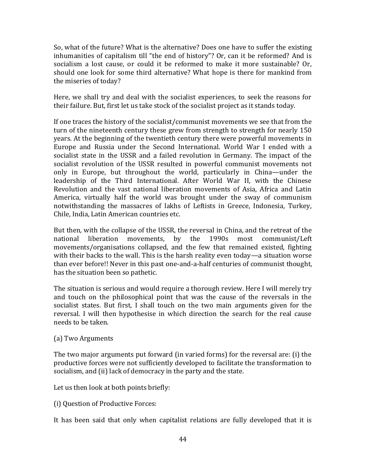So, what of the future? What is the alternative? Does one have to suffer the existing inhumanities of capitalism till "the end of history"? Or, can it be reformed? And is socialism a lost cause, or could it be reformed to make it more sustainable? Or, should one look for some third alternative? What hope is there for mankind from the miseries of today?

Here, we shall try and deal with the socialist experiences, to seek the reasons for their failure. But, first let us take stock of the socialist project as it stands today.

If one traces the history of the socialist/communist movements we see that from the turn of the nineteenth century these grew from strength to strength for nearly 150 years. At the beginning of the twentieth century there were powerful movements in Europe and Russia under the Second International. World War I ended with a socialist state in the USSR and a failed revolution in Germany. The impact of the socialist revolution of the USSR resulted in powerful communist movements not only in Europe, but throughout the world, particularly in China—under the leadership of the Third International. After World War II, with the Chinese Revolution and the vast national liberation movements of Asia, Africa and Latin America, virtually half the world was brought under the sway of communism notwithstanding the massacres of lakhs of Leftists in Greece, Indonesia, Turkey, Chile, India, Latin American countries etc.

But then, with the collapse of the USSR, the reversal in China, and the retreat of the national liberation movements, by the 1990s most communist/Left movements/organisations collapsed, and the few that remained existed, fighting with their backs to the wall. This is the harsh reality even today—a situation worse than ever before!! Never in this past one-and-a-half centuries of communist thought, has the situation been so pathetic.

The situation is serious and would require a thorough review. Here I will merely try and touch on the philosophical point that was the cause of the reversals in the socialist states. But first, I shall touch on the two main arguments given for the reversal. I will then hypothesise in which direction the search for the real cause needs to be taken.

## (a) Two Arguments

The two major arguments put forward (in varied forms) for the reversal are: (i) the productive forces were not sufficiently developed to facilitate the transformation to socialism, and (ii) lack of democracy in the party and the state.

Let us then look at both points briefly:

(i) Question of Productive Forces:

It has been said that only when capitalist relations are fully developed that it is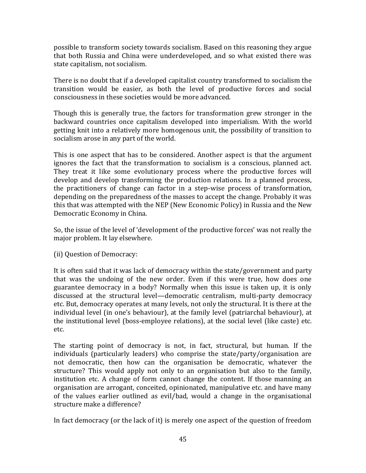possible to transform society towards socialism. Based on this reasoning they argue that both Russia and China were underdeveloped, and so what existed there was state capitalism, not socialism.

There is no doubt that if a developed capitalist country transformed to socialism the transition would be easier, as both the level of productive forces and social consciousness in these societies would be more advanced.

Though this is generally true, the factors for transformation grew stronger in the backward countries once capitalism developed into imperialism. With the world getting knit into a relatively more homogenous unit, the possibility of transition to socialism arose in any part of the world.

This is one aspect that has to be considered. Another aspect is that the argument ignores the fact that the transformation to socialism is a conscious, planned act. They treat it like some evolutionary process where the productive forces will develop and develop transforming the production relations. In a planned process, the practitioners of change can factor in a step-wise process of transformation, depending on the preparedness of the masses to accept the change. Probably it was this that was attempted with the NEP (New Economic Policy) in Russia and the New Democratic Economy in China.

So, the issue of the level of 'development of the productive forces' was not really the major problem. It lay elsewhere.

(ii) Question of Democracy:

It is often said that it was lack of democracy within the state/government and party that was the undoing of the new order. Even if this were true, how does one guarantee democracy in a body? Normally when this issue is taken up, it is only discussed at the structural level—democratic centralism, multi-party democracy etc. But, democracy operates at many levels, not only the structural. It is there at the individual level (in one's behaviour), at the family level (patriarchal behaviour), at the institutional level (boss-employee relations), at the social level (like caste) etc. etc.

The starting point of democracy is not, in fact, structural, but human. If the individuals (particularly leaders) who comprise the state/party/organisation are not democratic, then how can the organisation be democratic, whatever the structure? This would apply not only to an organisation but also to the family, institution etc. A change of form cannot change the content. If those manning an organisation are arrogant, conceited, opinionated, manipulative etc. and have many of the values earlier outlined as evil/bad, would a change in the organisational structure make a difference?

In fact democracy (or the lack of it) is merely one aspect of the question of freedom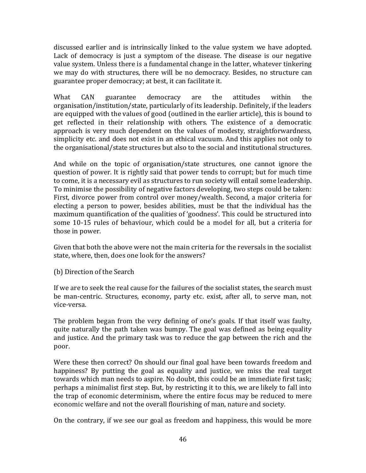discussed earlier and is intrinsically linked to the value system we have adopted. Lack of democracy is just a symptom of the disease. The disease is our negative value system. Unless there is a fundamental change in the latter, whatever tinkering we may do with structures, there will be no democracy. Besides, no structure can guarantee proper democracy; at best, it can facilitate it.

What CAN guarantee democracy are the attitudes within the organisation/institution/state, particularly of its leadership. Definitely, if the leaders are equipped with the values of good (outlined in the earlier article), this is bound to get reflected in their relationship with others. The existence of a democratic approach is very much dependent on the values of modesty, straightforwardness, simplicity etc. and does not exist in an ethical vacuum. And this applies not only to the organisational/state structures but also to the social and institutional structures.

And while on the topic of organisation/state structures, one cannot ignore the question of power. It is rightly said that power tends to corrupt; but for much time to come, it is a necessary evil as structures to run society will entail some leadership. To minimise the possibility of negative factors developing, two steps could be taken: First, divorce power from control over money/wealth. Second, a major criteria for electing a person to power, besides abilities, must be that the individual has the maximum quantification of the qualities of 'goodness'. This could be structured into some 10-15 rules of behaviour, which could be a model for all, but a criteria for those in power.

Given that both the above were not the main criteria for the reversals in the socialist state, where, then, does one look for the answers?

(b) Direction of the Search

If we are to seek the real cause for the failures of the socialist states, the search must be man-centric. Structures, economy, party etc. exist, after all, to serve man, not vice-versa.

The problem began from the very defining of one's goals. If that itself was faulty, quite naturally the path taken was bumpy. The goal was defined as being equality and justice. And the primary task was to reduce the gap between the rich and the poor.

Were these then correct? On should our final goal have been towards freedom and happiness? By putting the goal as equality and justice, we miss the real target towards which man needs to aspire. No doubt, this could be an immediate first task; perhaps a minimalist first step. But, by restricting it to this, we are likely to fall into the trap of economic determinism, where the entire focus may be reduced to mere economic welfare and not the overall flourishing of man, nature and society.

On the contrary, if we see our goal as freedom and happiness, this would be more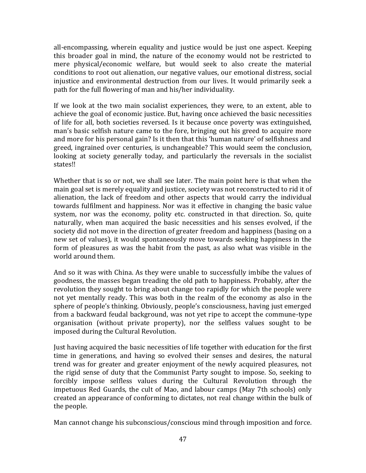all-encompassing, wherein equality and justice would be just one aspect. Keeping this broader goal in mind, the nature of the economy would not be restricted to mere physical/economic welfare, but would seek to also create the material conditions to root out alienation, our negative values, our emotional distress, social injustice and environmental destruction from our lives. It would primarily seek a path for the full flowering of man and his/her individuality.

If we look at the two main socialist experiences, they were, to an extent, able to achieve the goal of economic justice. But, having once achieved the basic necessities of life for all, both societies reversed. Is it because once poverty was extinguished, man's basic selfish nature came to the fore, bringing out his greed to acquire more and more for his personal gain? Is it then that this 'human nature' of selfishness and greed, ingrained over centuries, is unchangeable? This would seem the conclusion, looking at society generally today, and particularly the reversals in the socialist states!!

Whether that is so or not, we shall see later. The main point here is that when the main goal set is merely equality and justice, society was not reconstructed to rid it of alienation, the lack of freedom and other aspects that would carry the individual towards fulfilment and happiness. Nor was it effective in changing the basic value system, nor was the economy, polity etc. constructed in that direction. So, quite naturally, when man acquired the basic necessities and his senses evolved, if the society did not move in the direction of greater freedom and happiness (basing on a new set of values), it would spontaneously move towards seeking happiness in the form of pleasures as was the habit from the past, as also what was visible in the world around them.

And so it was with China. As they were unable to successfully imbibe the values of goodness, the masses began treading the old path to happiness. Probably, after the revolution they sought to bring about change too rapidly for which the people were not yet mentally ready. This was both in the realm of the economy as also in the sphere of people's thinking. Obviously, people's consciousness, having just emerged from a backward feudal background, was not yet ripe to accept the commune-type organisation (without private property), nor the selfless values sought to be imposed during the Cultural Revolution.

Just having acquired the basic necessities of life together with education for the first time in generations, and having so evolved their senses and desires, the natural trend was for greater and greater enjoyment of the newly acquired pleasures, not the rigid sense of duty that the Communist Party sought to impose. So, seeking to forcibly impose selfless values during the Cultural Revolution through the impetuous Red Guards, the cult of Mao, and labour camps (May 7th schools) only created an appearance of conforming to dictates, not real change within the bulk of the people.

Man cannot change his subconscious/conscious mind through imposition and force.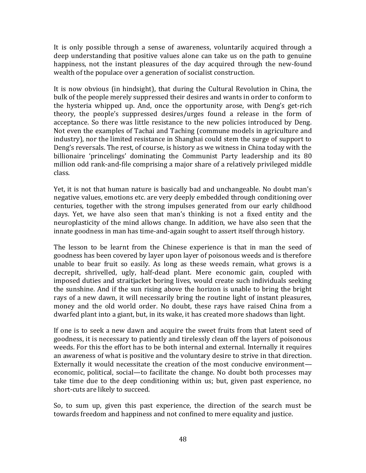It is only possible through a sense of awareness, voluntarily acquired through a deep understanding that positive values alone can take us on the path to genuine happiness, not the instant pleasures of the day acquired through the new-found wealth of the populace over a generation of socialist construction.

It is now obvious (in hindsight), that during the Cultural Revolution in China, the bulk of the people merely suppressed their desires and wants in order to conform to the hysteria whipped up. And, once the opportunity arose, with Deng's get-rich theory, the people's suppressed desires/urges found a release in the form of acceptance. So there was little resistance to the new policies introduced by Deng. Not even the examples of Tachai and Taching (commune models in agriculture and industry), nor the limited resistance in Shanghai could stem the surge of support to Deng's reversals. The rest, of course, is history as we witness in China today with the billionaire 'princelings' dominating the Communist Party leadership and its 80 million odd rank-and-file comprising a major share of a relatively privileged middle class.

Yet, it is not that human nature is basically bad and unchangeable. No doubt man's negative values, emotions etc. are very deeply embedded through conditioning over centuries, together with the strong impulses generated from our early childhood days. Yet, we have also seen that man's thinking is not a fixed entity and the neuroplasticity of the mind allows change. In addition, we have also seen that the innate goodness in man has time-and-again sought to assert itself through history.

The lesson to be learnt from the Chinese experience is that in man the seed of goodness has been covered by layer upon layer of poisonous weeds and is therefore unable to bear fruit so easily. As long as these weeds remain, what grows is a decrepit, shrivelled, ugly, half-dead plant. Mere economic gain, coupled with imposed duties and straitjacket boring lives, would create such individuals seeking the sunshine. And if the sun rising above the horizon is unable to bring the bright rays of a new dawn, it will necessarily bring the routine light of instant pleasures, money and the old world order. No doubt, these rays have raised China from a dwarfed plant into a giant, but, in its wake, it has created more shadows than light.

If one is to seek a new dawn and acquire the sweet fruits from that latent seed of goodness, it is necessary to patiently and tirelessly clean off the layers of poisonous weeds. For this the effort has to be both internal and external. Internally it requires an awareness of what is positive and the voluntary desire to strive in that direction. Externally it would necessitate the creation of the most conducive environment economic, political, social—to facilitate the change. No doubt both processes may take time due to the deep conditioning within us; but, given past experience, no short-cuts are likely to succeed.

So, to sum up, given this past experience, the direction of the search must be towards freedom and happiness and not confined to mere equality and justice.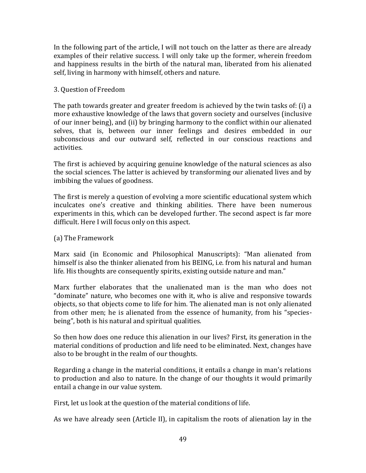In the following part of the article, I will not touch on the latter as there are already examples of their relative success. I will only take up the former, wherein freedom and happiness results in the birth of the natural man, liberated from his alienated self, living in harmony with himself, others and nature.

# 3. Question of Freedom

The path towards greater and greater freedom is achieved by the twin tasks of: (i) a more exhaustive knowledge of the laws that govern society and ourselves (inclusive of our inner being), and (ii) by bringing harmony to the conflict within our alienated selves, that is, between our inner feelings and desires embedded in our subconscious and our outward self, reflected in our conscious reactions and activities.

The first is achieved by acquiring genuine knowledge of the natural sciences as also the social sciences. The latter is achieved by transforming our alienated lives and by imbibing the values of goodness.

The first is merely a question of evolving a more scientific educational system which inculcates one's creative and thinking abilities. There have been numerous experiments in this, which can be developed further. The second aspect is far more difficult. Here I will focus only on this aspect.

# (a) The Framework

Marx said (in Economic and Philosophical Manuscripts): "Man alienated from himself is also the thinker alienated from his BEING, i.e. from his natural and human life. His thoughts are consequently spirits, existing outside nature and man."

Marx further elaborates that the unalienated man is the man who does not "dominate" nature, who becomes one with it, who is alive and responsive towards objects, so that objects come to life for him. The alienated man is not only alienated from other men; he is alienated from the essence of humanity, from his "speciesbeing", both is his natural and spiritual qualities.

So then how does one reduce this alienation in our lives? First, its generation in the material conditions of production and life need to be eliminated. Next, changes have also to be brought in the realm of our thoughts.

Regarding a change in the material conditions, it entails a change in man's relations to production and also to nature. In the change of our thoughts it would primarily entail a change in our value system.

First, let us look at the question of the material conditions of life.

As we have already seen (Article II), in capitalism the roots of alienation lay in the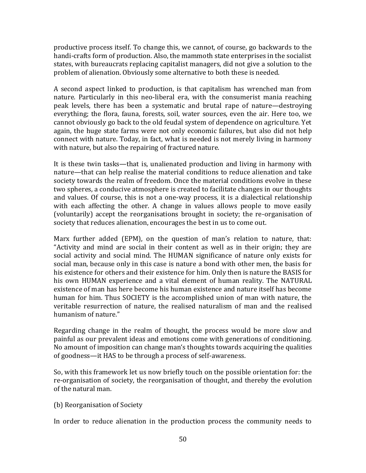productive process itself. To change this, we cannot, of course, go backwards to the handi-crafts form of production. Also, the mammoth state enterprises in the socialist states, with bureaucrats replacing capitalist managers, did not give a solution to the problem of alienation. Obviously some alternative to both these is needed.

A second aspect linked to production, is that capitalism has wrenched man from nature. Particularly in this neo-liberal era, with the consumerist mania reaching peak levels, there has been a systematic and brutal rape of nature—destroying everything; the flora, fauna, forests, soil, water sources, even the air. Here too, we cannot obviously go back to the old feudal system of dependence on agriculture. Yet again, the huge state farms were not only economic failures, but also did not help connect with nature. Today, in fact, what is needed is not merely living in harmony with nature, but also the repairing of fractured nature.

It is these twin tasks—that is, unalienated production and living in harmony with nature—that can help realise the material conditions to reduce alienation and take society towards the realm of freedom. Once the material conditions evolve in these two spheres, a conducive atmosphere is created to facilitate changes in our thoughts and values. Of course, this is not a one-way process, it is a dialectical relationship with each affecting the other. A change in values allows people to move easily (voluntarily) accept the reorganisations brought in society; the re-organisation of society that reduces alienation, encourages the best in us to come out.

Marx further added (EPM), on the question of man's relation to nature, that: "Activity and mind are social in their content as well as in their origin; they are social activity and social mind. The HUMAN significance of nature only exists for social man, because only in this case is nature a bond with other men, the basis for his existence for others and their existence for him. Only then is nature the BASIS for his own HUMAN experience and a vital element of human reality. The NATURAL existence of man has here become his human existence and nature itself has become human for him. Thus SOCIETY is the accomplished union of man with nature, the veritable resurrection of nature, the realised naturalism of man and the realised humanism of nature."

Regarding change in the realm of thought, the process would be more slow and painful as our prevalent ideas and emotions come with generations of conditioning. No amount of imposition can change man's thoughts towards acquiring the qualities of goodness—it HAS to be through a process of self-awareness.

So, with this framework let us now briefly touch on the possible orientation for: the re-organisation of society, the reorganisation of thought, and thereby the evolution of the natural man.

(b) Reorganisation of Society

In order to reduce alienation in the production process the community needs to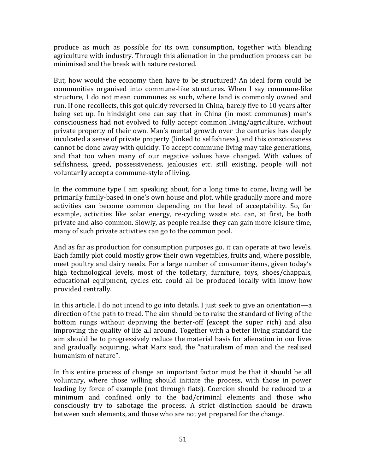produce as much as possible for its own consumption, together with blending agriculture with industry. Through this alienation in the production process can be minimised and the break with nature restored.

But, how would the economy then have to be structured? An ideal form could be communities organised into commune-like structures. When I say commune-like structure, I do not mean communes as such, where land is commonly owned and run. If one recollects, this got quickly reversed in China, barely five to 10 years after being set up. In hindsight one can say that in China (in most communes) man's consciousness had not evolved to fully accept common living/agriculture, without private property of their own. Man's mental growth over the centuries has deeply inculcated a sense of private property (linked to selfishness), and this consciousness cannot be done away with quickly. To accept commune living may take generations, and that too when many of our negative values have changed. With values of selfishness, greed, possessiveness, jealousies etc. still existing, people will not voluntarily accept a commune-style of living.

In the commune type I am speaking about, for a long time to come, living will be primarily family-based in one's own house and plot, while gradually more and more activities can become common depending on the level of acceptability. So, far example, activities like solar energy, re-cycling waste etc. can, at first, be both private and also common. Slowly, as people realise they can gain more leisure time, many of such private activities can go to the common pool.

And as far as production for consumption purposes go, it can operate at two levels. Each family plot could mostly grow their own vegetables, fruits and, where possible, meet poultry and dairy needs. For a large number of consumer items, given today's high technological levels, most of the toiletary, furniture, toys, shoes/chappals, educational equipment, cycles etc. could all be produced locally with know-how provided centrally.

In this article. I do not intend to go into details. I just seek to give an orientation—a direction of the path to tread. The aim should be to raise the standard of living of the bottom rungs without depriving the better-off (except the super rich) and also improving the quality of life all around. Together with a better living standard the aim should be to progressively reduce the material basis for alienation in our lives and gradually acquiring, what Marx said, the "naturalism of man and the realised humanism of nature".

In this entire process of change an important factor must be that it should be all voluntary, where those willing should initiate the process, with those in power leading by force of example (not through fiats). Coercion should be reduced to a minimum and confined only to the bad/criminal elements and those who consciously try to sabotage the process. A strict distinction should be drawn between such elements, and those who are not yet prepared for the change.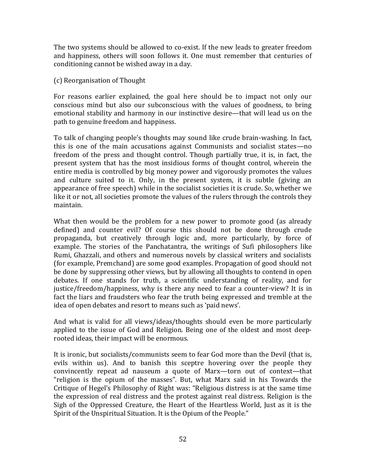The two systems should be allowed to co-exist. If the new leads to greater freedom and happiness, others will soon follows it. One must remember that centuries of conditioning cannot be wished away in a day.

# (c) Reorganisation of Thought

For reasons earlier explained, the goal here should be to impact not only our conscious mind but also our subconscious with the values of goodness, to bring emotional stability and harmony in our instinctive desire—that will lead us on the path to genuine freedom and happiness.

To talk of changing people's thoughts may sound like crude brain-washing. In fact, this is one of the main accusations against Communists and socialist states—no freedom of the press and thought control. Though partially true, it is, in fact, the present system that has the most insidious forms of thought control, wherein the entire media is controlled by big money power and vigorously promotes the values and culture suited to it. Only, in the present system, it is subtle (giving an appearance of free speech) while in the socialist societies it is crude. So, whether we like it or not, all societies promote the values of the rulers through the controls they maintain.

What then would be the problem for a new power to promote good (as already defined) and counter evil? Of course this should not be done through crude propaganda, but creatively through logic and, more particularly, by force of example. The stories of the Panchatantra, the writings of Sufi philosophers like Rumi, Ghazzali, and others and numerous novels by classical writers and socialists (for example, Premchand) are some good examples. Propagation of good should not be done by suppressing other views, but by allowing all thoughts to contend in open debates. If one stands for truth, a scientific understanding of reality, and for justice/freedom/happiness, why is there any need to fear a counter-view? It is in fact the liars and fraudsters who fear the truth being expressed and tremble at the idea of open debates and resort to means such as 'paid news'.

And what is valid for all views/ideas/thoughts should even be more particularly applied to the issue of God and Religion. Being one of the oldest and most deeprooted ideas, their impact will be enormous.

It is ironic, but socialists/communists seem to fear God more than the Devil (that is, evils within us). And to banish this sceptre hovering over the people they convincently repeat ad nauseum a quote of Marx—torn out of context—that "religion is the opium of the masses". But, what Marx said in his Towards the Critique of Hegel's Philosophy of Right was: "Religious distress is at the same time the expression of real distress and the protest against real distress. Religion is the Sigh of the Oppressed Creature, the Heart of the Heartless World, Just as it is the Spirit of the Unspiritual Situation. It is the Opium of the People."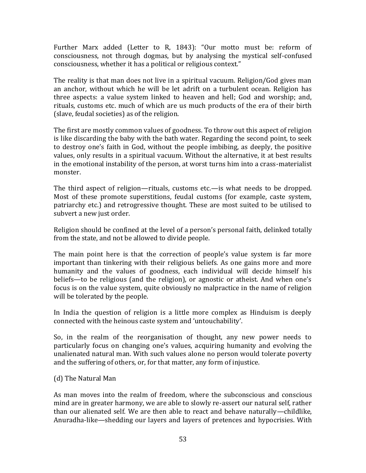Further Marx added (Letter to R, 1843): "Our motto must be: reform of consciousness, not through dogmas, but by analysing the mystical self-confused consciousness, whether it has a political or religious context."

The reality is that man does not live in a spiritual vacuum. Religion/God gives man an anchor, without which he will be let adrift on a turbulent ocean. Religion has three aspects: a value system linked to heaven and hell; God and worship; and, rituals, customs etc. much of which are us much products of the era of their birth (slave, feudal societies) as of the religion.

The first are mostly common values of goodness. To throw out this aspect of religion is like discarding the baby with the bath water. Regarding the second point, to seek to destroy one's faith in God, without the people imbibing, as deeply, the positive values, only results in a spiritual vacuum. Without the alternative, it at best results in the emotional instability of the person, at worst turns him into a crass-materialist monster.

The third aspect of religion—rituals, customs etc.—is what needs to be dropped. Most of these promote superstitions, feudal customs (for example, caste system, patriarchy etc.) and retrogressive thought. These are most suited to be utilised to subvert a new just order.

Religion should be confined at the level of a person's personal faith, delinked totally from the state, and not be allowed to divide people.

The main point here is that the correction of people's value system is far more important than tinkering with their religious beliefs. As one gains more and more humanity and the values of goodness, each individual will decide himself his beliefs—to be religious (and the religion), or agnostic or atheist. And when one's focus is on the value system, quite obviously no malpractice in the name of religion will be tolerated by the people.

In India the question of religion is a little more complex as Hinduism is deeply connected with the heinous caste system and 'untouchability'.

So, in the realm of the reorganisation of thought, any new power needs to particularly focus on changing one's values, acquiring humanity and evolving the unalienated natural man. With such values alone no person would tolerate poverty and the suffering of others, or, for that matter, any form of injustice.

## (d) The Natural Man

As man moves into the realm of freedom, where the subconscious and conscious mind are in greater harmony, we are able to slowly re-assert our natural self, rather than our alienated self. We are then able to react and behave naturally—childlike, Anuradha-like—shedding our layers and layers of pretences and hypocrisies. With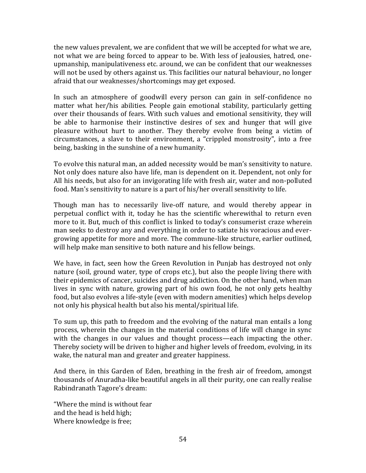the new values prevalent, we are confident that we will be accepted for what we are, not what we are being forced to appear to be. With less of jealousies, hatred, oneupmanship, manipulativeness etc. around, we can be confident that our weaknesses will not be used by others against us. This facilities our natural behaviour, no longer afraid that our weaknesses/shortcomings may get exposed.

In such an atmosphere of goodwill every person can gain in self-confidence no matter what her/his abilities. People gain emotional stability, particularly getting over their thousands of fears. With such values and emotional sensitivity, they will be able to harmonise their instinctive desires of sex and hunger that will give pleasure without hurt to another. They thereby evolve from being a victim of circumstances, a slave to their environment, a "crippled monstrosity", into a free being, basking in the sunshine of a new humanity.

To evolve this natural man, an added necessity would be man's sensitivity to nature. Not only does nature also have life, man is dependent on it. Dependent, not only for All his needs, but also for an invigorating life with fresh air, water and non-polluted food. Man's sensitivity to nature is a part of his/her overall sensitivity to life.

Though man has to necessarily live-off nature, and would thereby appear in perpetual conflict with it, today he has the scientific wherewithal to return even more to it. But, much of this conflict is linked to today's consumerist craze wherein man seeks to destroy any and everything in order to satiate his voracious and evergrowing appetite for more and more. The commune-like structure, earlier outlined, will help make man sensitive to both nature and his fellow beings.

We have, in fact, seen how the Green Revolution in Punjab has destroyed not only nature (soil, ground water, type of crops etc.), but also the people living there with their epidemics of cancer, suicides and drug addiction. On the other hand, when man lives in sync with nature, growing part of his own food, he not only gets healthy food, but also evolves a life-style (even with modern amenities) which helps develop not only his physical health but also his mental/spiritual life.

To sum up, this path to freedom and the evolving of the natural man entails a long process, wherein the changes in the material conditions of life will change in sync with the changes in our values and thought process—each impacting the other. Thereby society will be driven to higher and higher levels of freedom, evolving, in its wake, the natural man and greater and greater happiness.

And there, in this Garden of Eden, breathing in the fresh air of freedom, amongst thousands of Anuradha-like beautiful angels in all their purity, one can really realise Rabindranath Tagore's dream:

"Where the mind is without fear and the head is held high; Where knowledge is free;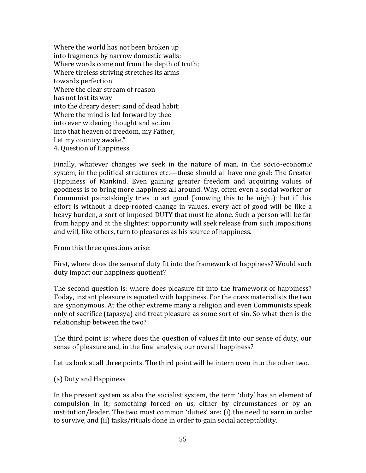Where the world has not been broken up into fragments by narrow domestic walls; Where words come out from the depth of truth; Where tireless striving stretches its arms towards perfection Where the clear stream of reason has not lost its way into the dreary desert sand of dead habit; Where the mind is led forward by thee into ever widening thought and action Into that heaven of freedom, my Father, Let my country awake." 4. Question of Happiness

Finally, whatever changes we seek in the nature of man, in the socio-economic system, in the political structures etc.—these should all have one goal: The Greater Happiness of Mankind. Even gaining greater freedom and acquiring values of goodness is to bring more happiness all around. Why, often even a social worker or Communist painstakingly tries to act good (knowing this to be night); but if this effort is without a deep-rooted change in values, every act of good will be like a heavy burden, a sort of imposed DUTY that must be alone. Such a person will be far from happy and at the slightest opportunity will seek release from such impositions and will, like others, turn to pleasures as his source of happiness.

From this three questions arise:

First, where does the sense of duty fit into the framework of happiness? Would such duty impact our happiness quotient?

The second question is: where does pleasure fit into the framework of happiness? Today, instant pleasure is equated with happiness. For the crass materialists the two are synonymous. At the other extreme many a religion and even Communists speak only of sacrifice (tapasya) and treat pleasure as some sort of sin. So what then is the relationship between the two?

The third point is: where does the question of values fit into our sense of duty, our sense of pleasure and, in the final analysis, our overall happiness?

Let us look at all three points. The third point will be intern oven into the other two.

(a) Duty and Happiness

In the present system as also the socialist system, the term 'duty' has an element of compulsion in it; something forced on us, either by circumstances or by an institution/leader. The two most common 'duties' are: (i) the need to earn in order to survive, and (ii) tasks/rituals done in order to gain social acceptability.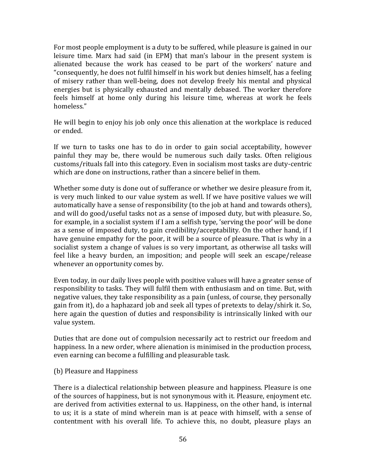For most people employment is a duty to be suffered, while pleasure is gained in our leisure time. Marx had said (in EPM) that man's labour in the present system is alienated because the work has ceased to be part of the workers' nature and "consequently, he does not fulfil himself in his work but denies himself, has a feeling of misery rather than well-being, does not develop freely his mental and physical energies but is physically exhausted and mentally debased. The worker therefore feels himself at home only during his leisure time, whereas at work he feels homeless."

He will begin to enjoy his job only once this alienation at the workplace is reduced or ended.

If we turn to tasks one has to do in order to gain social acceptability, however painful they may be, there would be numerous such daily tasks. Often religious customs/rituals fall into this category. Even in socialism most tasks are duty-centric which are done on instructions, rather than a sincere belief in them.

Whether some duty is done out of sufferance or whether we desire pleasure from it, is very much linked to our value system as well. If we have positive values we will automatically have a sense of responsibility (to the job at hand and towards others), and will do good/useful tasks not as a sense of imposed duty, but with pleasure. So, for example, in a socialist system if I am a selfish type, 'serving the poor' will be done as a sense of imposed duty, to gain credibility/acceptability. On the other hand, if I have genuine empathy for the poor, it will be a source of pleasure. That is why in a socialist system a change of values is so very important, as otherwise all tasks will feel like a heavy burden, an imposition; and people will seek an escape/release whenever an opportunity comes by.

Even today, in our daily lives people with positive values will have a greater sense of responsibility to tasks. They will fulfil them with enthusiasm and on time. But, with negative values, they take responsibility as a pain (unless, of course, they personally gain from it), do a haphazard job and seek all types of pretexts to delay/shirk it. So, here again the question of duties and responsibility is intrinsically linked with our value system.

Duties that are done out of compulsion necessarily act to restrict our freedom and happiness. In a new order, where alienation is minimised in the production process, even earning can become a fulfilling and pleasurable task.

## (b) Pleasure and Happiness

There is a dialectical relationship between pleasure and happiness. Pleasure is one of the sources of happiness, but is not synonymous with it. Pleasure, enjoyment etc. are derived from activities external to us. Happiness, on the other hand, is internal to us; it is a state of mind wherein man is at peace with himself, with a sense of contentment with his overall life. To achieve this, no doubt, pleasure plays an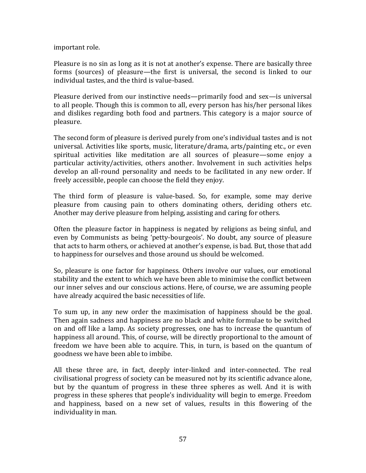important role.

Pleasure is no sin as long as it is not at another's expense. There are basically three forms (sources) of pleasure—the first is universal, the second is linked to our individual tastes, and the third is value-based.

Pleasure derived from our instinctive needs—primarily food and sex—is universal to all people. Though this is common to all, every person has his/her personal likes and dislikes regarding both food and partners. This category is a major source of pleasure.

The second form of pleasure is derived purely from one's individual tastes and is not universal. Activities like sports, music, literature/drama, arts/painting etc., or even spiritual activities like meditation are all sources of pleasure—some enjoy a particular activity/activities, others another. Involvement in such activities helps develop an all-round personality and needs to be facilitated in any new order. If freely accessible, people can choose the field they enjoy.

The third form of pleasure is value-based. So, for example, some may derive pleasure from causing pain to others dominating others, deriding others etc. Another may derive pleasure from helping, assisting and caring for others.

Often the pleasure factor in happiness is negated by religions as being sinful, and even by Communists as being 'petty-bourgeois'. No doubt, any source of pleasure that acts to harm others, or achieved at another's expense, is bad. But, those that add to happiness for ourselves and those around us should be welcomed.

So, pleasure is one factor for happiness. Others involve our values, our emotional stability and the extent to which we have been able to minimise the conflict between our inner selves and our conscious actions. Here, of course, we are assuming people have already acquired the basic necessities of life.

To sum up, in any new order the maximisation of happiness should be the goal. Then again sadness and happiness are no black and white formulae to be switched on and off like a lamp. As society progresses, one has to increase the quantum of happiness all around. This, of course, will be directly proportional to the amount of freedom we have been able to acquire. This, in turn, is based on the quantum of goodness we have been able to imbibe.

All these three are, in fact, deeply inter-linked and inter-connected. The real civilisational progress of society can be measured not by its scientific advance alone, but by the quantum of progress in these three spheres as well. And it is with progress in these spheres that people's individuality will begin to emerge. Freedom and happiness, based on a new set of values, results in this flowering of the individuality in man.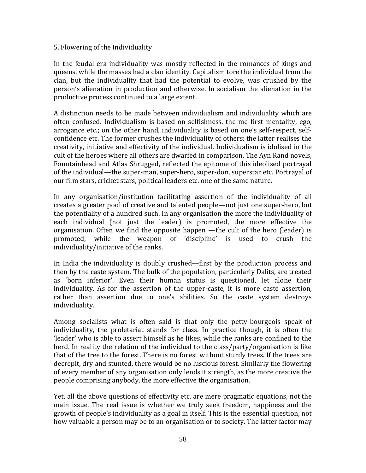#### 5. Flowering of the Individuality

In the feudal era individuality was mostly reflected in the romances of kings and queens, while the masses had a clan identity. Capitalism tore the individual from the clan, but the individuality that had the potential to evolve, was crushed by the person's alienation in production and otherwise. In socialism the alienation in the productive process continued to a large extent.

A distinction needs to be made between individualism and individuality which are often confused. Individualism is based on selfishness, the me-first mentality, ego, arrogance etc.; on the other hand, individuality is based on one's self-respect, selfconfidence etc. The former crushes the individuality of others; the latter realises the creativity, initiative and effectivity of the individual. Individualism is idolised in the cult of the heroes where all others are dwarfed in comparison. The Ayn Rand novels, Fountainhead and Atlas Shrugged, reflected the epitome of this ideolised portrayal of the individual—the super-man, super-hero, super-don, superstar etc. Portrayal of our film stars, cricket stars, political leaders etc. one of the same nature.

In any organisation/institution facilitating assertion of the individuality of all creates a greater pool of creative and talented people—not just one super-hero, but the potentiality of a hundred such. In any organisation the more the individuality of each individual (not just the leader) is promoted, the more effective the organisation. Often we find the opposite happen —the cult of the hero (leader) is promoted, while the weapon of 'discipline' is used to crush the individuality/initiative of the ranks.

In India the individuality is doubly crushed—first by the production process and then by the caste system. The bulk of the population, particularly Dalits, are treated as 'born inferior'. Even their human status is questioned, let alone their individuality. As for the assertion of the upper-caste, it is more caste assertion, rather than assertion due to one's abilities. So the caste system destroys individuality.

Among socialists what is often said is that only the petty-bourgeois speak of individuality, the proletariat stands for class. In practice though, it is often the 'leader' who is able to assert himself as he likes, while the ranks are confined to the herd. In reality the relation of the individual to the class/party/organisation is like that of the tree to the forest. There is no forest without sturdy trees. If the trees are decrepit, dry and stunted, there would be no luscious forest. Similarly the flowering of every member of any organisation only lends it strength, as the more creative the people comprising anybody, the more effective the organisation.

Yet, all the above questions of effectivity etc. are mere pragmatic equations, not the main issue. The real issue is whether we truly seek freedom, happiness and the growth of people's individuality as a goal in itself. This is the essential question, not how valuable a person may be to an organisation or to society. The latter factor may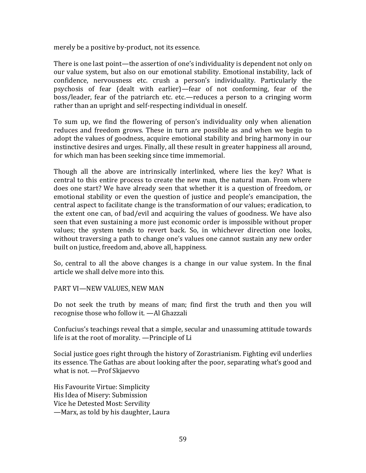merely be a positive by-product, not its essence.

There is one last point—the assertion of one's individuality is dependent not only on our value system, but also on our emotional stability. Emotional instability, lack of confidence, nervousness etc. crush a person's individuality. Particularly the psychosis of fear (dealt with earlier)—fear of not conforming, fear of the boss/leader, fear of the patriarch etc. etc.—reduces a person to a cringing worm rather than an upright and self-respecting individual in oneself.

To sum up, we find the flowering of person's individuality only when alienation reduces and freedom grows. These in turn are possible as and when we begin to adopt the values of goodness, acquire emotional stability and bring harmony in our instinctive desires and urges. Finally, all these result in greater happiness all around, for which man has been seeking since time immemorial.

Though all the above are intrinsically interlinked, where lies the key? What is central to this entire process to create the new man, the natural man. From where does one start? We have already seen that whether it is a question of freedom, or emotional stability or even the question of justice and people's emancipation, the central aspect to facilitate change is the transformation of our values; eradication, to the extent one can, of bad/evil and acquiring the values of goodness. We have also seen that even sustaining a more just economic order is impossible without proper values; the system tends to revert back. So, in whichever direction one looks, without traversing a path to change one's values one cannot sustain any new order built on justice, freedom and, above all, happiness.

So, central to all the above changes is a change in our value system. In the final article we shall delve more into this.

#### PART VI—NEW VALUES, NEW MAN

Do not seek the truth by means of man; find first the truth and then you will recognise those who follow it. —Al Ghazzali

Confucius's teachings reveal that a simple, secular and unassuming attitude towards life is at the root of morality. —Principle of Li

Social justice goes right through the history of Zorastrianism. Fighting evil underlies its essence. The Gathas are about looking after the poor, separating what's good and what is not. —Prof Skjaevvo

His Favourite Virtue: Simplicity His Idea of Misery: Submission Vice he Detested Most: Servility —Marx, as told by his daughter, Laura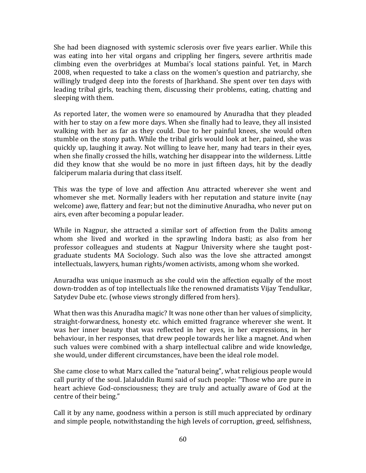She had been diagnosed with systemic sclerosis over five years earlier. While this was eating into her vital organs and crippling her fingers, severe arthritis made climbing even the overbridges at Mumbai's local stations painful. Yet, in March 2008, when requested to take a class on the women's question and patriarchy, she willingly trudged deep into the forests of Jharkhand. She spent over ten days with leading tribal girls, teaching them, discussing their problems, eating, chatting and sleeping with them.

As reported later, the women were so enamoured by Anuradha that they pleaded with her to stay on a few more days. When she finally had to leave, they all insisted walking with her as far as they could. Due to her painful knees, she would often stumble on the stony path. While the tribal girls would look at her, pained, she was quickly up, laughing it away. Not willing to leave her, many had tears in their eyes, when she finally crossed the hills, watching her disappear into the wilderness. Little did they know that she would be no more in just fifteen days, hit by the deadly falciperum malaria during that class itself.

This was the type of love and affection Anu attracted wherever she went and whomever she met. Normally leaders with her reputation and stature invite (nay welcome) awe, flattery and fear; but not the diminutive Anuradha, who never put on airs, even after becoming a popular leader.

While in Nagpur, she attracted a similar sort of affection from the Dalits among whom she lived and worked in the sprawling Indora basti; as also from her professor colleagues and students at Nagpur University where she taught postgraduate students MA Sociology. Such also was the love she attracted amongst intellectuals, lawyers, human rights/women activists, among whom she worked.

Anuradha was unique inasmuch as she could win the affection equally of the most down-trodden as of top intellectuals like the renowned dramatists Vijay Tendulkar, Satydev Dube etc. (whose views strongly differed from hers).

What then was this Anuradha magic? It was none other than her values of simplicity, straight-forwardness, honesty etc. which emitted fragrance wherever she went. It was her inner beauty that was reflected in her eyes, in her expressions, in her behaviour, in her responses, that drew people towards her like a magnet. And when such values were combined with a sharp intellectual calibre and wide knowledge, she would, under different circumstances, have been the ideal role model.

She came close to what Marx called the "natural being", what religious people would call purity of the soul. Jalaluddin Rumi said of such people: "Those who are pure in heart achieve God-consciousness; they are truly and actually aware of God at the centre of their being."

Call it by any name, goodness within a person is still much appreciated by ordinary and simple people, notwithstanding the high levels of corruption, greed, selfishness,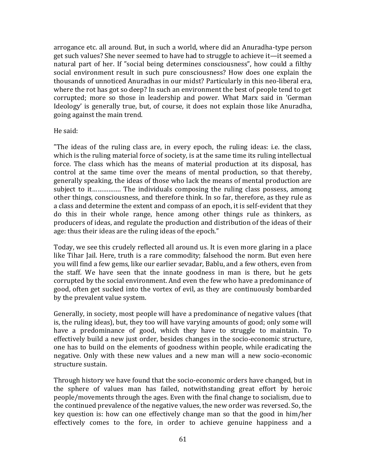arrogance etc. all around. But, in such a world, where did an Anuradha-type person get such values? She never seemed to have had to struggle to achieve it—it seemed a natural part of her. If "social being determines consciousness", how could a filthy social environment result in such pure consciousness? How does one explain the thousands of unnoticed Anuradhas in our midst? Particularly in this neo-liberal era, where the rot has got so deep? In such an environment the best of people tend to get corrupted; more so those in leadership and power. What Marx said in 'German Ideology' is generally true, but, of course, it does not explain those like Anuradha, going against the main trend.

He said:

"The ideas of the ruling class are, in every epoch, the ruling ideas: i.e. the class, which is the ruling material force of society, is at the same time its ruling intellectual force. The class which has the means of material production at its disposal, has control at the same time over the means of mental production, so that thereby, generally speaking, the ideas of those who lack the means of mental production are subject to it……………. The individuals composing the ruling class possess, among other things, consciousness, and therefore think. In so far, therefore, as they rule as a class and determine the extent and compass of an epoch, it is self-evident that they do this in their whole range, hence among other things rule as thinkers, as producers of ideas, and regulate the production and distribution of the ideas of their age: thus their ideas are the ruling ideas of the epoch."

Today, we see this crudely reflected all around us. It is even more glaring in a place like Tihar Jail. Here, truth is a rare commodity; falsehood the norm. But even here you will find a few gems, like our earlier sevadar, Bablu, and a few others, even from the staff. We have seen that the innate goodness in man is there, but he gets corrupted by the social environment. And even the few who have a predominance of good, often get sucked into the vortex of evil, as they are continuously bombarded by the prevalent value system.

Generally, in society, most people will have a predominance of negative values (that is, the ruling ideas), but, they too will have varying amounts of good; only some will have a predominance of good, which they have to struggle to maintain. To effectively build a new just order, besides changes in the socio-economic structure, one has to build on the elements of goodness within people, while eradicating the negative. Only with these new values and a new man will a new socio-economic structure sustain.

Through history we have found that the socio-economic orders have changed, but in the sphere of values man has failed, notwithstanding great effort by heroic people/movements through the ages. Even with the final change to socialism, due to the continued prevalence of the negative values, the new order was reversed. So, the key question is: how can one effectively change man so that the good in him/her effectively comes to the fore, in order to achieve genuine happiness and a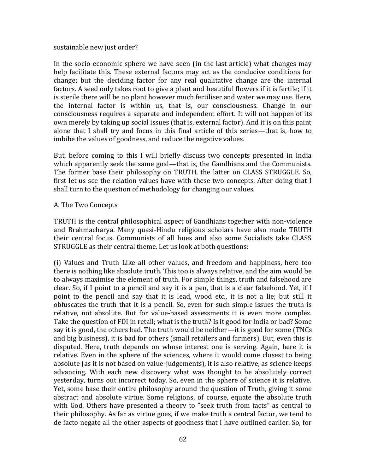#### sustainable new just order?

In the socio-economic sphere we have seen (in the last article) what changes may help facilitate this. These external factors may act as the conducive conditions for change; but the deciding factor for any real qualitative change are the internal factors. A seed only takes root to give a plant and beautiful flowers if it is fertile; if it is sterile there will be no plant however much fertiliser and water we may use. Here, the internal factor is within us, that is, our consciousness. Change in our consciousness requires a separate and independent effort. It will not happen of its own merely by taking up social issues (that is, external factor). And it is on this paint alone that I shall try and focus in this final article of this series—that is, how to imbibe the values of goodness, and reduce the negative values.

But, before coming to this I will briefly discuss two concepts presented in India which apparently seek the same goal—that is, the Gandhians and the Communists. The former base their philosophy on TRUTH, the latter on CLASS STRUGGLE. So, first let us see the relation values have with these two concepts. After doing that I shall turn to the question of methodology for changing our values.

#### A. The Two Concepts

TRUTH is the central philosophical aspect of Gandhians together with non-violence and Brahmacharya. Many quasi-Hindu religious scholars have also made TRUTH their central focus. Communists of all hues and also some Socialists take CLASS STRUGGLE as their central theme. Let us look at both questions:

(i) Values and Truth Like all other values, and freedom and happiness, here too there is nothing like absolute truth. This too is always relative, and the aim would be to always maximise the element of truth. For simple things, truth and falsehood are clear. So, if I point to a pencil and say it is a pen, that is a clear falsehood. Yet, if I point to the pencil and say that it is lead, wood etc., it is not a lie; but still it obfuscates the truth that it is a pencil. So, even for such simple issues the truth is relative, not absolute. But for value-based assessments it is even more complex. Take the question of FDI in retail; what is the truth? Is it good for India or bad? Some say it is good, the others bad. The truth would be neither—it is good for some (TNCs and big business), it is bad for others (small retailers and farmers). But, even this is disputed. Here, truth depends on whose interest one is serving. Again, here it is relative. Even in the sphere of the sciences, where it would come closest to being absolute (as it is not based on value-judgements), it is also relative, as science keeps advancing. With each new discovery what was thought to be absolutely correct yesterday, turns out incorrect today. So, even in the sphere of science it is relative. Yet, some base their entire philosophy around the question of Truth, giving it some abstract and absolute virtue. Some religions, of course, equate the absolute truth with God. Others have presented a theory to "seek truth from facts" as central to their philosophy. As far as virtue goes, if we make truth a central factor, we tend to de facto negate all the other aspects of goodness that I have outlined earlier. So, for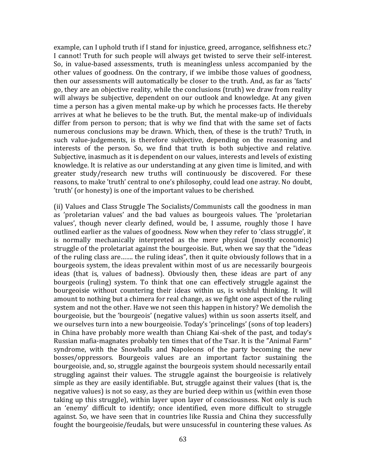example, can I uphold truth if I stand for injustice, greed, arrogance, selfishness etc.? I cannot! Truth for such people will always get twisted to serve their self-interest. So, in value-based assessments, truth is meaningless unless accompanied by the other values of goodness. On the contrary, if we imbibe those values of goodness, then our assessments will automatically be closer to the truth. And, as far as 'facts' go, they are an objective reality, while the conclusions (truth) we draw from reality will always be subjective, dependent on our outlook and knowledge. At any given time a person has a given mental make-up by which he processes facts. He thereby arrives at what he believes to be the truth. But, the mental make-up of individuals differ from person to person; that is why we find that with the same set of facts numerous conclusions may be drawn. Which, then, of these is the truth? Truth, in such value-judgements, is therefore subjective, depending on the reasoning and interests of the person. So, we find that truth is both subjective and relative. Subjective, inasmuch as it is dependent on our values, interests and levels of existing knowledge. It is relative as our understanding at any given time is limited, and with greater study/research new truths will continuously be discovered. For these reasons, to make 'truth' central to one's philosophy, could lead one astray. No doubt, 'truth' (or honesty) is one of the important values to be cherished.

(ii) Values and Class Struggle The Socialists/Communists call the goodness in man as 'proletarian values' and the bad values as bourgeois values. The 'proletarian values', though never clearly defined, would be, I assume, roughly those I have outlined earlier as the values of goodness. Now when they refer to 'class struggle', it is normally mechanically interpreted as the mere physical (mostly economic) struggle of the proletariat against the bourgeoisie. But, when we say that the "ideas of the ruling class are……. the ruling ideas", then it quite obviously follows that in a bourgeois system, the ideas prevalent within most of us are necessarily bourgeois ideas (that is, values of badness). Obviously then, these ideas are part of any bourgeois (ruling) system. To think that one can effectively struggle against the bourgeoisie without countering their ideas within us, is wishful thinking. It will amount to nothing but a chimera for real change, as we fight one aspect of the ruling system and not the other. Have we not seen this happen in history? We demolish the bourgeoisie, but the 'bourgeois' (negative values) within us soon asserts itself, and we ourselves turn into a new bourgeoisie. Today's 'princelings' (sons of top leaders) in China have probably more wealth than Chiang Kai-shek of the past, and today's Russian mafia-magnates probably ten times that of the Tsar. It is the "Animal Farm" syndrome, with the Snowballs and Napoleons of the party becoming the new bosses/oppressors. Bourgeois values are an important factor sustaining the bourgeoisie, and, so, struggle against the bourgeois system should necessarily entail struggling against their values. The struggle against the bourgeoisie is relatively simple as they are easily identifiable. But, struggle against their values (that is, the negative values) is not so easy, as they are buried deep within us (within even those taking up this struggle), within layer upon layer of consciousness. Not only is such an 'enemy' difficult to identify; once identified, even more difficult to struggle against. So, we have seen that in countries like Russia and China they successfully fought the bourgeoisie/feudals, but were unsucessful in countering these values. As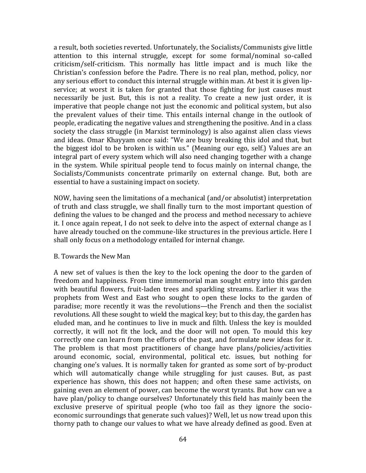a result, both societies reverted. Unfortunately, the Socialists/Communists give little attention to this internal struggle, except for some formal/nominal so-called criticism/self-criticism. This normally has little impact and is much like the Christian's confession before the Padre. There is no real plan, method, policy, nor any serious effort to conduct this internal struggle within man. At best it is given lipservice; at worst it is taken for granted that those fighting for just causes must necessarily be just. But, this is not a reality. To create a new just order, it is imperative that people change not just the economic and political system, but also the prevalent values of their time. This entails internal change in the outlook of people, eradicating the negative values and strengthening the positive. And in a class society the class struggle (in Marxist terminology) is also against alien class views and ideas. Omar Khayyam once said: "We are busy breaking this idol and that, but the biggest idol to be broken is within us." (Meaning our ego, self.) Values are an integral part of every system which will also need changing together with a change in the system. While spiritual people tend to focus mainly on internal change, the Socialists/Communists concentrate primarily on external change. But, both are essential to have a sustaining impact on society.

NOW, having seen the limitations of a mechanical (and/or absolutist) interpretation of truth and class struggle, we shall finally turn to the most important question of defining the values to be changed and the process and method necessary to achieve it. I once again repeat, I do not seek to delve into the aspect of external change as I have already touched on the commune-like structures in the previous article. Here I shall only focus on a methodology entailed for internal change.

#### B. Towards the New Man

A new set of values is then the key to the lock opening the door to the garden of freedom and happiness. From time immemorial man sought entry into this garden with beautiful flowers, fruit-laden trees and sparkling streams. Earlier it was the prophets from West and East who sought to open these locks to the garden of paradise; more recently it was the revolutions—the French and then the socialist revolutions. All these sought to wield the magical key; but to this day, the garden has eluded man, and he continues to live in muck and filth. Unless the key is moulded correctly, it will not fit the lock, and the door will not open. To mould this key correctly one can learn from the efforts of the past, and formulate new ideas for it. The problem is that most practitioners of change have plans/policies/activities around economic, social, environmental, political etc. issues, but nothing for changing one's values. It is normally taken for granted as some sort of by-product which will automatically change while struggling for just causes. But, as past experience has shown, this does not happen; and often these same activists, on gaining even an element of power, can become the worst tyrants. But how can we a have plan/policy to change ourselves? Unfortunately this field has mainly been the exclusive preserve of spiritual people (who too fail as they ignore the socioeconomic surroundings that generate such values)? Well, let us now tread upon this thorny path to change our values to what we have already defined as good. Even at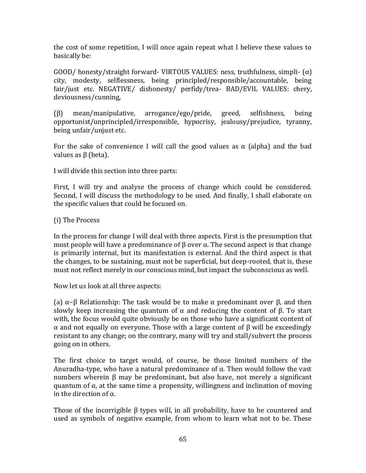the cost of some repetition, I will once again repeat what I believe these values to basically be:

GOOD/ honesty/straight forward- VIRTOUS VALUES: ness, truthfulness, simpli-  $(\alpha)$ city, modesty, selflessness, being principled/responsible/accountable, being fair/just etc. NEGATIVE/ dishonesty/ perfidy/trea- BAD/EVIL VALUES: chery, deviousness/cunning,

(β) mean/manipulative, arrogance/ego/pride, greed, selfishness, being opportunist/unprincipled/irresponsible, hypocrisy, jealousy/prejudice, tyranny, being unfair/unjust etc.

For the sake of convenience I will call the good values as  $\alpha$  (alpha) and the bad values as  $β$  (beta).

I will divide this section into three parts:

First, I will try and analyse the process of change which could be considered. Second, I will discuss the methodology to be used. And finally, I shall elaborate on the specific values that could be focused on.

(i) The Process

In the process for change I will deal with three aspects. First is the presumption that most people will have a predominance of β over  $\alpha$ . The second aspect is that change is primarily internal, but its manifestation is external. And the third aspect is that the changes, to be sustaining, must not be superficial, but deep-rooted, that is, these must not reflect merely in our conscious mind, but impact the subconscious as well.

Now let us look at all three aspects:

(a) α−β Relationship: The task would be to make α predominant over β, and then slowly keep increasing the quantum of  $\alpha$  and reducing the content of β. To start with, the focus would quite obviously be on those who have a significant content of α and not equally on everyone. Those with a large content of β will be exceedingly resistant to any change; on the contrary, many will try and stall/subvert the process going on in others.

The first choice to target would, of course, be those limited numbers of the Anuradha-type, who have a natural predominance of  $\alpha$ . Then would follow the vast numbers wherein β may be predominant, but also have, not merely a significant quantum of  $\alpha$ , at the same time a propensity, willingness and inclination of moving in the direction of  $\alpha$ .

Those of the incorrigible β types will, in all probability, have to be countered and used as symbols of negative example, from whom to learn what not to be. These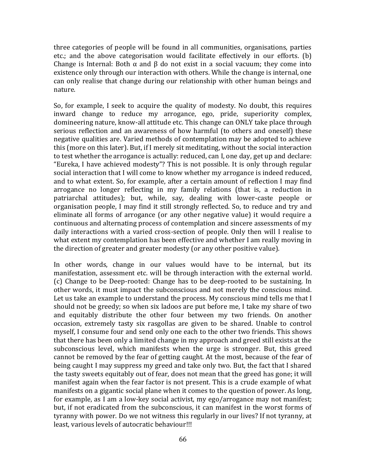three categories of people will be found in all communities, organisations, parties etc.; and the above categorisation would facilitate effectively in our efforts. (b) Change is Internal: Both  $\alpha$  and  $\beta$  do not exist in a social vacuum; they come into existence only through our interaction with others. While the change is internal, one can only realise that change during our relationship with other human beings and nature.

So, for example, I seek to acquire the quality of modesty. No doubt, this requires inward change to reduce my arrogance, ego, pride, superiority complex, domineering nature, know-all attitude etc. This change can ONLY take place through serious reflection and an awareness of how harmful (to others and oneself) these negative qualities are. Varied methods of contemplation may be adopted to achieve this (more on this later). But, if I merely sit meditating, without the social interaction to test whether the arrogance is actually: reduced, can I, one day, get up and declare: "Eureka, I have achieved modesty"? This is not possible. It is only through regular social interaction that I will come to know whether my arrogance is indeed reduced, and to what extent. So, for example, after a certain amount of reflection I may find arrogance no longer reflecting in my family relations (that is, a reduction in patriarchal attitudes); but, while, say, dealing with lower-caste people or organisation people, I may find it still strongly reflected. So, to reduce and try and eliminate all forms of arrogance (or any other negative value) it would require a continuous and alternating process of contemplation and sincere assessments of my daily interactions with a varied cross-section of people. Only then will I realise to what extent my contemplation has been effective and whether I am really moving in the direction of greater and greater modesty (or any other positive value).

In other words, change in our values would have to be internal, but its manifestation, assessment etc. will be through interaction with the external world. (c) Change to be Deep-rooted: Change has to be deep-rooted to be sustaining. In other words, it must impact the subconscious and not merely the conscious mind. Let us take an example to understand the process. My conscious mind tells me that I should not be greedy; so when six ladoos are put before me, I take my share of two and equitably distribute the other four between my two friends. On another occasion, extremely tasty six rasgollas are given to be shared. Unable to control myself, I consume four and send only one each to the other two friends. This shows that there has been only a limited change in my approach and greed still exists at the subconscious level, which manifests when the urge is stronger. But, this greed cannot be removed by the fear of getting caught. At the most, because of the fear of being caught I may suppress my greed and take only two. But, the fact that I shared the tasty sweets equitably out of fear, does not mean that the greed has gone; it will manifest again when the fear factor is not present. This is a crude example of what manifests on a gigantic social plane when it comes to the question of power. As long, for example, as I am a low-key social activist, my ego/arrogance may not manifest; but, if not eradicated from the subconscious, it can manifest in the worst forms of tyranny with power. Do we not witness this regularly in our lives? If not tyranny, at least, various levels of autocratic behaviour!!!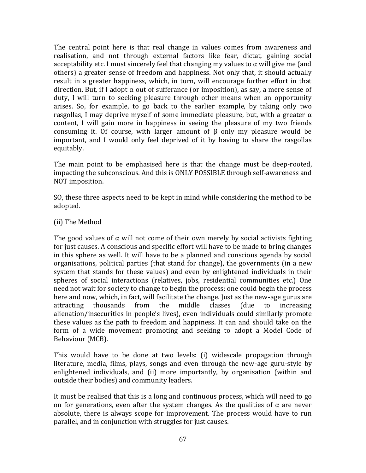The central point here is that real change in values comes from awareness and realisation, and not through external factors like fear, dictat, gaining social acceptability etc. I must sincerely feel that changing my values to  $\alpha$  will give me (and others) a greater sense of freedom and happiness. Not only that, it should actually result in a greater happiness, which, in turn, will encourage further effort in that direction. But, if I adopt  $\alpha$  out of sufferance (or imposition), as say, a mere sense of duty, I will turn to seeking pleasure through other means when an opportunity arises. So, for example, to go back to the earlier example, by taking only two rasgollas, I may deprive myself of some immediate pleasure, but, with a greater  $\alpha$ content, I will gain more in happiness in seeing the pleasure of my two friends consuming it. Of course, with larger amount of β only my pleasure would be important, and I would only feel deprived of it by having to share the rasgollas equitably.

The main point to be emphasised here is that the change must be deep-rooted, impacting the subconscious. And this is ONLY POSSIBLE through self-awareness and NOT imposition.

SO, these three aspects need to be kept in mind while considering the method to be adopted.

(ii) The Method

The good values of  $\alpha$  will not come of their own merely by social activists fighting for just causes. A conscious and specific effort will have to be made to bring changes in this sphere as well. It will have to be a planned and conscious agenda by social organisations, political parties (that stand for change), the governments (in a new system that stands for these values) and even by enlightened individuals in their spheres of social interactions (relatives, jobs, residential communities etc.) One need not wait for society to change to begin the process; one could begin the process here and now, which, in fact, will facilitate the change. Just as the new-age gurus are attracting thousands from the middle classes (due to increasing alienation/insecurities in people's lives), even individuals could similarly promote these values as the path to freedom and happiness. It can and should take on the form of a wide movement promoting and seeking to adopt a Model Code of Behaviour (MCB).

This would have to be done at two levels: (i) widescale propagation through literature, media, films, plays, songs and even through the new-age guru-style by enlightened individuals, and (ii) more importantly, by organisation (within and outside their bodies) and community leaders.

It must be realised that this is a long and continuous process, which will need to go on for generations, even after the system changes. As the qualities of  $\alpha$  are never absolute, there is always scope for improvement. The process would have to run parallel, and in conjunction with struggles for just causes.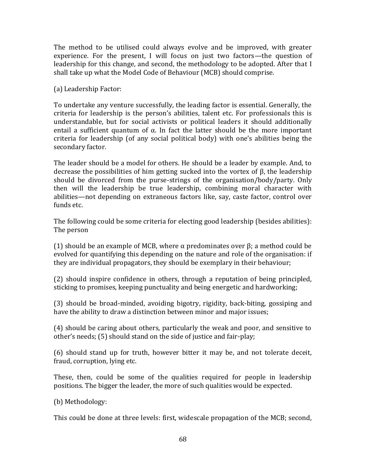The method to be utilised could always evolve and be improved, with greater experience. For the present, I will focus on just two factors—the question of leadership for this change, and second, the methodology to be adopted. After that I shall take up what the Model Code of Behaviour (MCB) should comprise.

(a) Leadership Factor:

To undertake any venture successfully, the leading factor is essential. Generally, the criteria for leadership is the person's abilities, talent etc. For professionals this is understandable, but for social activists or political leaders it should additionally entail a sufficient quantum of  $\alpha$ . In fact the latter should be the more important criteria for leadership (of any social political body) with one's abilities being the secondary factor.

The leader should be a model for others. He should be a leader by example. And, to decrease the possibilities of him getting sucked into the vortex of β, the leadership should be divorced from the purse-strings of the organisation/body/party. Only then will the leadership be true leadership, combining moral character with abilities—not depending on extraneous factors like, say, caste factor, control over funds etc.

The following could be some criteria for electing good leadership (besides abilities): The person

(1) should be an example of MCB, where  $\alpha$  predominates over  $\beta$ ; a method could be evolved for quantifying this depending on the nature and role of the organisation: if they are individual propagators, they should be exemplary in their behaviour;

(2) should inspire confidence in others, through a reputation of being principled, sticking to promises, keeping punctuality and being energetic and hardworking;

(3) should be broad-minded, avoiding bigotry, rigidity, back-biting, gossiping and have the ability to draw a distinction between minor and major issues;

(4) should be caring about others, particularly the weak and poor, and sensitive to other's needs; (5) should stand on the side of justice and fair-play;

(6) should stand up for truth, however bitter it may be, and not tolerate deceit, fraud, corruption, lying etc.

These, then, could be some of the qualities required for people in leadership positions. The bigger the leader, the more of such qualities would be expected.

(b) Methodology:

This could be done at three levels: first, widescale propagation of the MCB; second,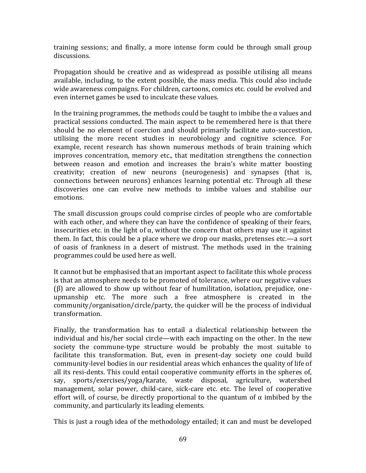training sessions; and finally, a more intense form could be through small group discussions.

Propagation should be creative and as widespread as possible utilising all means available, including, to the extent possible, the mass media. This could also include wide awareness compaigns. For children, cartoons, comics etc. could be evolved and even internet games be used to inculcate these values.

In the training programmes, the methods could be taught to imbibe the  $\alpha$  values and practical sessions conducted. The main aspect to be remembered here is that there should be no element of coercion and should primarily facilitate auto-succestion, utilising the more recent studies in neurobiology and cognitive science. For example, recent research has shown numerous methods of brain training which improves concentration, memory etc., that meditation strengthens the connection between reason and emotion and increases the brain's white matter boosting creativity; creation of new neurons (neurogenesis) and synapses (that is, connections between neurons) enhances learning potential etc. Through all these discoveries one can evolve new methods to imbibe values and stabilise our emotions.

The small discussion groups could comprise circles of people who are comfortable with each other, and where they can have the confidence of speaking of their fears, insecurities etc. in the light of  $\alpha$ , without the concern that others may use it against them. In fact, this could be a place where we drop our masks, pretenses etc.—a sort of oasis of frankness in a desert of mistrust. The methods used in the training programmes could be used here as well.

It cannot but be emphasised that an important aspect to facilitate this whole process is that an atmosphere needs to be promoted of tolerance, where our negative values (β) are allowed to show up without fear of humilitation, isolation, prejudice, oneupmanship etc. The more such a free atmosphere is created in the community/organisation/circle/party, the quicker will be the process of individual transformation.

Finally, the transformation has to entail a dialectical relationship between the individual and his/her social circle—with each impacting on the other. In the new society the commune-type structure would be probably the most suitable to facilitate this transformation. But, even in present-day society one could build community-level bodies in our residential areas which enhances the quality of life of all its resi-dents. This could entail cooperative community efforts in the spheres of, say, sports/exercises/yoga/karate, waste disposal, agriculture, watershed management, solar power, child-care, sick-care etc. etc. The level of cooperative effort will, of course, be directly proportional to the quantum of  $\alpha$  imbibed by the community, and particularly its leading elements.

This is just a rough idea of the methodology entailed; it can and must be developed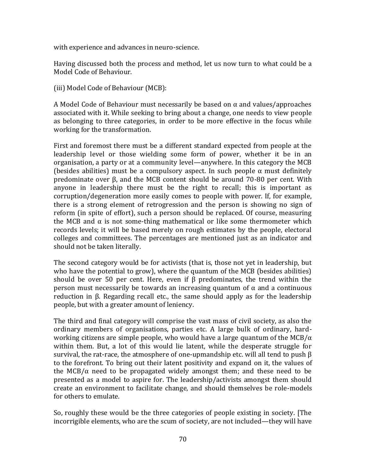with experience and advances in neuro-science.

Having discussed both the process and method, let us now turn to what could be a Model Code of Behaviour.

(iii) Model Code of Behaviour (MCB):

A Model Code of Behaviour must necessarily be based on  $\alpha$  and values/approaches associated with it. While seeking to bring about a change, one needs to view people as belonging to three categories, in order to be more effective in the focus while working for the transformation.

First and foremost there must be a different standard expected from people at the leadership level or those wielding some form of power, whether it be in an organisation, a party or at a community level—anywhere. In this category the MCB (besides abilities) must be a compulsory aspect. In such people  $\alpha$  must definitely predominate over β, and the MCB content should be around 70-80 per cent. With anyone in leadership there must be the right to recall; this is important as corruption/degeneration more easily comes to people with power. If, for example, there is a strong element of retrogression and the person is showing no sign of reform (in spite of effort), such a person should be replaced. Of course, measuring the MCB and  $\alpha$  is not some-thing mathematical or like some thermometer which records levels; it will be based merely on rough estimates by the people, electoral colleges and committees. The percentages are mentioned just as an indicator and should not be taken literally.

The second category would be for activists (that is, those not yet in leadership, but who have the potential to grow), where the quantum of the MCB (besides abilities) should be over 50 per cent. Here, even if β predominates, the trend within the person must necessarily be towards an increasing quantum of α and a continuous reduction in β. Regarding recall etc., the same should apply as for the leadership people, but with a greater amount of leniency.

The third and final category will comprise the vast mass of civil society, as also the ordinary members of organisations, parties etc. A large bulk of ordinary, hardworking citizens are simple people, who would have a large quantum of the MCB/ $\alpha$ within them. But, a lot of this would lie latent, while the desperate struggle for survival, the rat-race, the atmosphere of one-upmandship etc. will all tend to push  $\beta$ to the forefront. To bring out their latent positivity and expand on it, the values of the MCB/ $\alpha$  need to be propagated widely amongst them; and these need to be presented as a model to aspire for. The leadership/activists amongst them should create an environment to facilitate change, and should themselves be role-models for others to emulate.

So, roughly these would be the three categories of people existing in society. [The incorrigible elements, who are the scum of society, are not included—they will have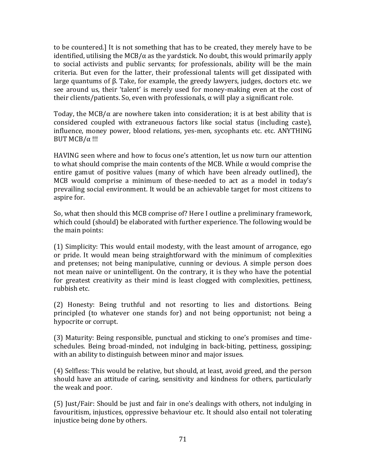to be countered.] It is not something that has to be created, they merely have to be identified, utilising the MCB/ $\alpha$  as the yardstick. No doubt, this would primarily apply to social activists and public servants; for professionals, ability will be the main criteria. But even for the latter, their professional talents will get dissipated with large quantums of β. Take, for example, the greedy lawyers, judges, doctors etc. we see around us, their 'talent' is merely used for money-making even at the cost of their clients/patients. So, even with professionals,  $\alpha$  will play a significant role.

Today, the MCB/ $\alpha$  are nowhere taken into consideration; it is at best ability that is considered coupled with extraneuous factors like social status (including caste), influence, money power, blood relations, yes-men, sycophants etc. etc. ANYTHING BUT MCB/ $\alpha$ !!!

HAVING seen where and how to focus one's attention, let us now turn our attention to what should comprise the main contents of the MCB. While  $\alpha$  would comprise the entire gamut of positive values (many of which have been already outlined), the MCB would comprise a minimum of these-needed to act as a model in today's prevailing social environment. It would be an achievable target for most citizens to aspire for.

So, what then should this MCB comprise of? Here I outline a preliminary framework, which could (should) be elaborated with further experience. The following would be the main points:

(1) Simplicity: This would entail modesty, with the least amount of arrogance, ego or pride. It would mean being straightforward with the minimum of complexities and pretenses; not being manipulative, cunning or devious. A simple person does not mean naive or unintelligent. On the contrary, it is they who have the potential for greatest creativity as their mind is least clogged with complexities, pettiness, rubbish etc.

(2) Honesty: Being truthful and not resorting to lies and distortions. Being principled (to whatever one stands for) and not being opportunist; not being a hypocrite or corrupt.

(3) Maturity: Being responsible, punctual and sticking to one's promises and timeschedules. Being broad-minded, not indulging in back-biting, pettiness, gossiping; with an ability to distinguish between minor and major issues.

(4) Selfless: This would be relative, but should, at least, avoid greed, and the person should have an attitude of caring, sensitivity and kindness for others, particularly the weak and poor.

(5) Just/Fair: Should be just and fair in one's dealings with others, not indulging in favouritism, injustices, oppressive behaviour etc. It should also entail not tolerating injustice being done by others.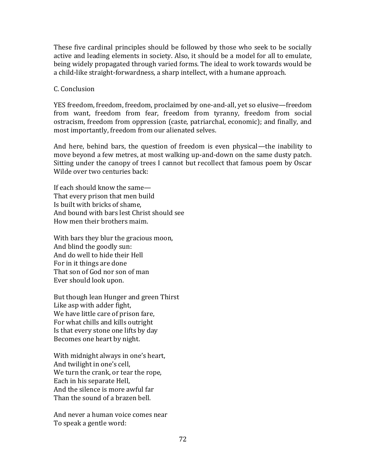These five cardinal principles should be followed by those who seek to be socially active and leading elements in society. Also, it should be a model for all to emulate, being widely propagated through varied forms. The ideal to work towards would be a child-like straight-forwardness, a sharp intellect, with a humane approach.

#### C. Conclusion

YES freedom, freedom, freedom, proclaimed by one-and-all, yet so elusive—freedom from want, freedom from fear, freedom from tyranny, freedom from social ostracism, freedom from oppression (caste, patriarchal, economic); and finally, and most importantly, freedom from our alienated selves.

And here, behind bars, the question of freedom is even physical—the inability to move beyond a few metres, at most walking up-and-down on the same dusty patch. Sitting under the canopy of trees I cannot but recollect that famous poem by Oscar Wilde over two centuries back:

If each should know the same— That every prison that men build Is built with bricks of shame, And bound with bars lest Christ should see How men their brothers maim.

With bars they blur the gracious moon, And blind the goodly sun: And do well to hide their Hell For in it things are done That son of God nor son of man Ever should look upon.

But though lean Hunger and green Thirst Like asp with adder fight, We have little care of prison fare, For what chills and kills outright Is that every stone one lifts by day Becomes one heart by night.

With midnight always in one's heart, And twilight in one's cell, We turn the crank, or tear the rope, Each in his separate Hell, And the silence is more awful far Than the sound of a brazen bell.

And never a human voice comes near To speak a gentle word: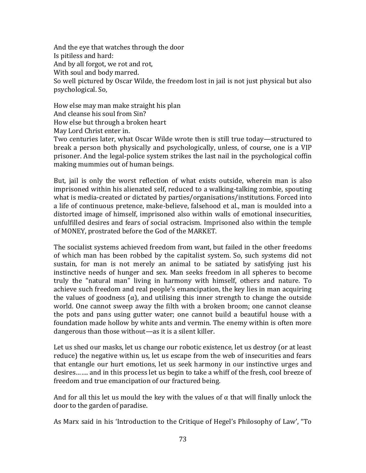And the eye that watches through the door Is pitiless and hard: And by all forgot, we rot and rot, With soul and body marred. So well pictured by Oscar Wilde, the freedom lost in jail is not just physical but also psychological. So,

How else may man make straight his plan And cleanse his soul from Sin? How else but through a broken heart May Lord Christ enter in.

Two centuries later, what Oscar Wilde wrote then is still true today—structured to break a person both physically and psychologically, unless, of course, one is a VIP prisoner. And the legal-police system strikes the last nail in the psychological coffin making mummies out of human beings.

But, jail is only the worst reflection of what exists outside, wherein man is also imprisoned within his alienated self, reduced to a walking-talking zombie, spouting what is media-created or dictated by parties/organisations/institutions. Forced into a life of continuous pretence, make-believe, falsehood et al., man is moulded into a distorted image of himself, imprisoned also within walls of emotional insecurities, unfulfilled desires and fears of social ostracism. Imprisoned also within the temple of MONEY, prostrated before the God of the MARKET.

The socialist systems achieved freedom from want, but failed in the other freedoms of which man has been robbed by the capitalist system. So, such systems did not sustain, for man is not merely an animal to be satiated by satisfying just his instinctive needs of hunger and sex. Man seeks freedom in all spheres to become truly the "natural man" living in harmony with himself, others and nature. To achieve such freedom and real people's emancipation, the key lies in man acquiring the values of goodness ( $\alpha$ ), and utilising this inner strength to change the outside world. One cannot sweep away the filth with a broken broom; one cannot cleanse the pots and pans using gutter water; one cannot build a beautiful house with a foundation made hollow by white ants and vermin. The enemy within is often more dangerous than those without—as it is a silent killer.

Let us shed our masks, let us change our robotic existence, let us destroy (or at least reduce) the negative within us, let us escape from the web of insecurities and fears that entangle our hurt emotions, let us seek harmony in our instinctive urges and desires……. and in this process let us begin to take a whiff of the fresh, cool breeze of freedom and true emancipation of our fractured being.

And for all this let us mould the key with the values of  $\alpha$  that will finally unlock the door to the garden of paradise.

As Marx said in his 'Introduction to the Critique of Hegel's Philosophy of Law', "To